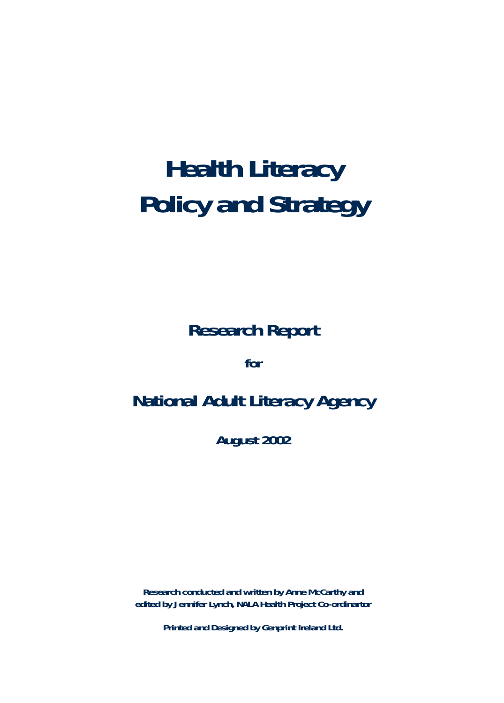# **Health Literacy Policy and Strategy**

**Research Report**

**for** 

## **National Adult Literacy Agency**

**August 2002**

**Research conducted and written by Anne McCarthy and edited by Jennifer Lynch, NALA Health Project Co-ordinartor**

**Printed and Designed by Genprint Ireland Ltd.**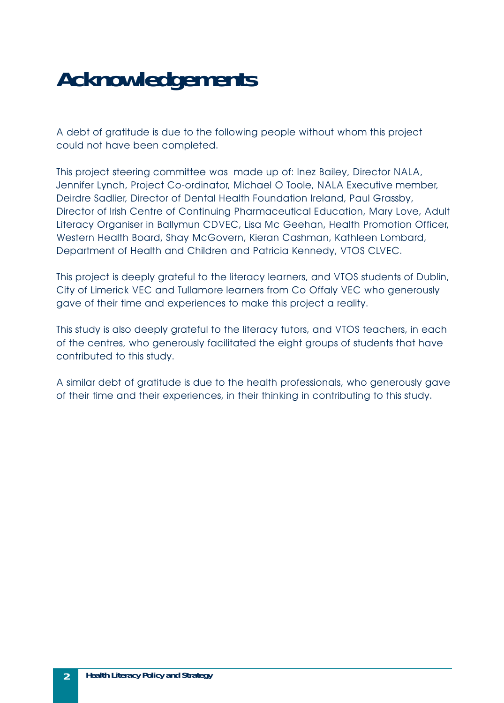# **Acknowledgements**

A debt of gratitude is due to the following people without whom this project could not have been completed.

This project steering committee was made up of: Inez Bailey, Director NALA, Jennifer Lynch, Project Co-ordinator, Michael O Toole, NALA Executive member, Deirdre Sadlier, Director of Dental Health Foundation Ireland, Paul Grassby, Director of Irish Centre of Continuing Pharmaceutical Education, Mary Love, Adult Literacy Organiser in Ballymun CDVEC, Lisa Mc Geehan, Health Promotion Officer, Western Health Board, Shay McGovern, Kieran Cashman, Kathleen Lombard, Department of Health and Children and Patricia Kennedy, VTOS CLVEC.

This project is deeply grateful to the literacy learners, and VTOS students of Dublin, City of Limerick VEC and Tullamore learners from Co Offaly VEC who generously gave of their time and experiences to make this project a reality.

This study is also deeply grateful to the literacy tutors, and VTOS teachers, in each of the centres, who generously facilitated the eight groups of students that have contributed to this study.

A similar debt of gratitude is due to the health professionals, who generously gave of their time and their experiences, in their thinking in contributing to this study.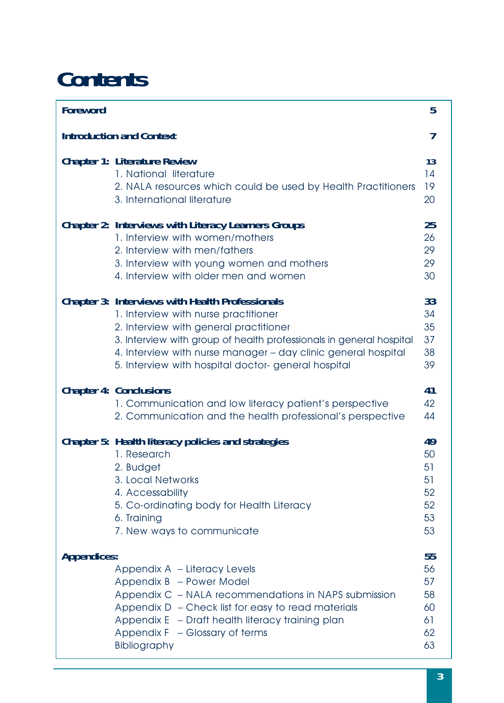# **Contents**

| <b>Foreword</b>                 |                                                                                                                                                                                                                                                                                                                                        | 5                                            |
|---------------------------------|----------------------------------------------------------------------------------------------------------------------------------------------------------------------------------------------------------------------------------------------------------------------------------------------------------------------------------------|----------------------------------------------|
| <b>Introduction and Context</b> |                                                                                                                                                                                                                                                                                                                                        |                                              |
|                                 | <b>Chapter 1: Literature Review</b><br>1. National literature<br>2. NALA resources which could be used by Health Practitioners<br>3. International literature                                                                                                                                                                          | 13<br>14<br>19<br>20                         |
|                                 | <b>Chapter 2: Interviews with Literacy Learners Groups</b><br>1. Interview with women/mothers<br>2. Interview with men/fathers<br>3. Interview with young women and mothers<br>4. Interview with older men and women                                                                                                                   | 25<br>26<br>29<br>29<br>30                   |
|                                 | <b>Chapter 3: Interviews with Health Professionals</b><br>1. Interview with nurse practitioner<br>2. Interview with general practitioner<br>3. Interview with group of health professionals in general hospital<br>4. Interview with nurse manager - day clinic general hospital<br>5. Interview with hospital doctor-general hospital | 33<br>34<br>35<br>37<br>38<br>39             |
|                                 | <b>Chapter 4: Conclusions</b><br>1. Communication and low literacy patient's perspective<br>2. Communication and the health professional's perspective                                                                                                                                                                                 | 41<br>42<br>44                               |
|                                 | Chapter 5: Health literacy policies and strategies<br>1. Research<br>2. Budget<br>3. Local Networks<br>4. Accessability<br>5. Co-ordinating body for Health Literacy<br>6. Training<br>7. New ways to communicate                                                                                                                      | 49<br>50<br>51<br>51<br>52<br>52<br>53<br>53 |
| <b>Appendices:</b>              | Appendix A - Literacy Levels<br>Appendix B - Power Model<br>Appendix C - NALA recommendations in NAPS submission<br>Appendix $D -$ Check list for easy to read materials<br>Appendix E - Draft health literacy training plan<br>Appendix F - Glossary of terms<br>Bibliography                                                         | 55<br>56<br>57<br>58<br>60<br>61<br>62<br>63 |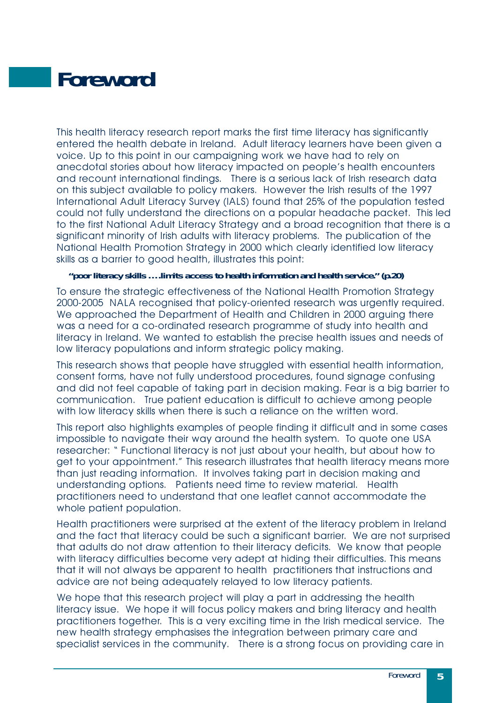# <span id="page-4-0"></span>**Foreword**

This health literacy research report marks the first time literacy has significantly entered the health debate in Ireland. Adult literacy learners have been given a voice. Up to this point in our campaigning work we have had to rely on anecdotal stories about how literacy impacted on people's health encounters and recount international findings. There is a serious lack of Irish research data on this subject available to policy makers. However the Irish results of the 1997 International Adult Literacy Survey (IALS) found that 25% of the population tested could not fully understand the directions on a popular headache packet. This led to the first National Adult Literacy Strategy and a broad recognition that there is a significant minority of Irish adults with literacy problems. The publication of the National Health Promotion Strategy in 2000 which clearly identified low literacy skills as a barrier to good health, illustrates this point:

#### *"poor literacy skills ….limits access to health information and health service." (p.20)*

To ensure the strategic effectiveness of the National Health Promotion Strategy 2000-2005 NALA recognised that policy-oriented research was urgently required. We approached the Department of Health and Children in 2000 arguing there was a need for a co-ordinated research programme of study into health and literacy in Ireland. We wanted to establish the precise health issues and needs of low literacy populations and inform strategic policy making.

This research shows that people have struggled with essential health information, consent forms, have not fully understood procedures, found signage confusing and did not feel capable of taking part in decision making. Fear is a big barrier to communication. True patient education is difficult to achieve among people with low literacy skills when there is such a reliance on the written word.

This report also highlights examples of people finding it difficult and in some cases impossible to navigate their way around the health system. To quote one USA researcher: " Functional literacy is not just about your health, but about how to get to your appointment." This research illustrates that health literacy means more than just reading information. It involves taking part in decision making and understanding options. Patients need time to review material. Health practitioners need to understand that one leaflet cannot accommodate the whole patient population.

Health practitioners were surprised at the extent of the literacy problem in Ireland and the fact that literacy could be such a significant barrier. We are not surprised that adults do not draw attention to their literacy deficits. We know that people with literacy difficulties become very adept at hiding their difficulties. This means that it will not always be apparent to health practitioners that instructions and advice are not being adequately relayed to low literacy patients.

We hope that this research project will play a part in addressing the health literacy issue. We hope it will focus policy makers and bring literacy and health practitioners together. This is a very exciting time in the Irish medical service. The new health strategy emphasises the integration between primary care and specialist services in the community. There is a strong focus on providing care in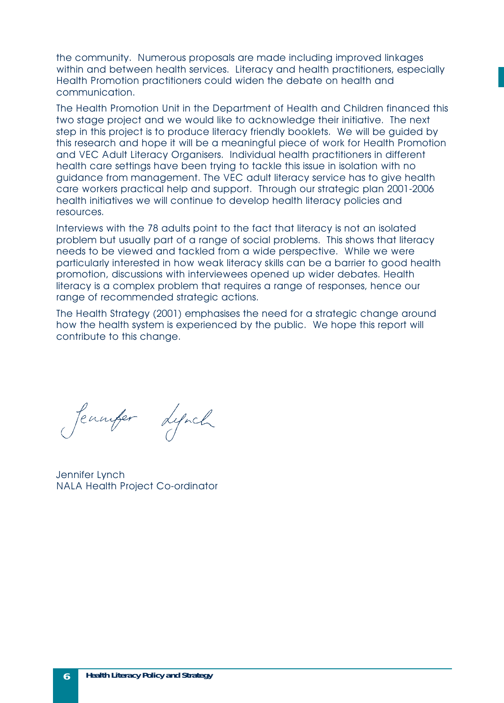the community. Numerous proposals are made including improved linkages within and between health services. Literacy and health practitioners, especially Health Promotion practitioners could widen the debate on health and communication.

The Health Promotion Unit in the Department of Health and Children financed this two stage project and we would like to acknowledge their initiative. The next step in this project is to produce literacy friendly booklets. We will be guided by this research and hope it will be a meaningful piece of work for Health Promotion and VEC Adult Literacy Organisers. Individual health practitioners in different health care settings have been trying to tackle this issue in isolation with no guidance from management. The VEC adult literacy service has to give health care workers practical help and support. Through our strategic plan 2001-2006 health initiatives we will continue to develop health literacy policies and resources.

Interviews with the 78 adults point to the fact that literacy is not an isolated problem but usually part of a range of social problems. This shows that literacy needs to be viewed and tackled from a wide perspective. While we were particularly interested in how weak literacy skills can be a barrier to good health promotion, discussions with interviewees opened up wider debates. Health literacy is a complex problem that requires a range of responses, hence our range of recommended strategic actions.

The Health Strategy (2001) emphasises the need for a strategic change around how the health system is experienced by the public. We hope this report will contribute to this change.

Jeannfer Lynch

Jennifer Lynch NALA Health Project Co-ordinator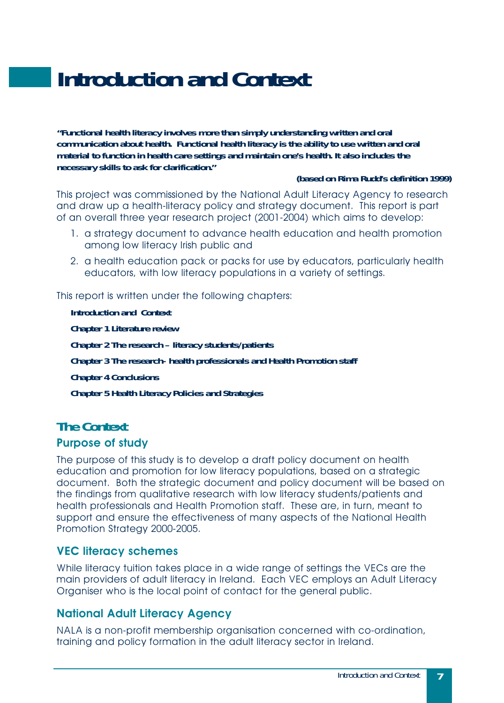# <span id="page-6-0"></span>**Introduction and Context**

*"Functional health literacy involves more than simply understanding written and oral communication about health. Functional health literacy is the ability to use written and oral material to function in health care settings and maintain one's health. It also includes the necessary skills to ask for clarification."*

#### *(based on Rima Rudd's definition 1999)*

This project was commissioned by the National Adult Literacy Agency to research and draw up a health-literacy policy and strategy document. This report is part of an overall three year research project (2001-2004) which aims to develop:

- 1. a strategy document to advance health education and health promotion among low literacy Irish public and
- 2. a health education pack or packs for use by educators, particularly health educators, with low literacy populations in a variety of settings.

This report is written under the following chapters:

**Introduction and Context Chapter 1 Literature review Chapter 2 The research – literacy students/patients Chapter 3 The research- health professionals and Health Promotion staff Chapter 4 Conclusions Chapter 5 Health Literacy Policies and Strategies**

### **The Context**

#### **Purpose of study**

The purpose of this study is to develop a draft policy document on health education and promotion for low literacy populations, based on a strategic document. Both the strategic document and policy document will be based on the findings from qualitative research with low literacy students/patients and health professionals and Health Promotion staff. These are, in turn, meant to support and ensure the effectiveness of many aspects of the National Health Promotion Strategy 2000-2005.

#### **VEC literacy schemes**

While literacy tuition takes place in a wide range of settings the VECs are the main providers of adult literacy in Ireland. Each VEC employs an Adult Literacy Organiser who is the local point of contact for the general public.

#### **National Adult Literacy Agency**

NALA is a non-profit membership organisation concerned with co-ordination, training and policy formation in the adult literacy sector in Ireland.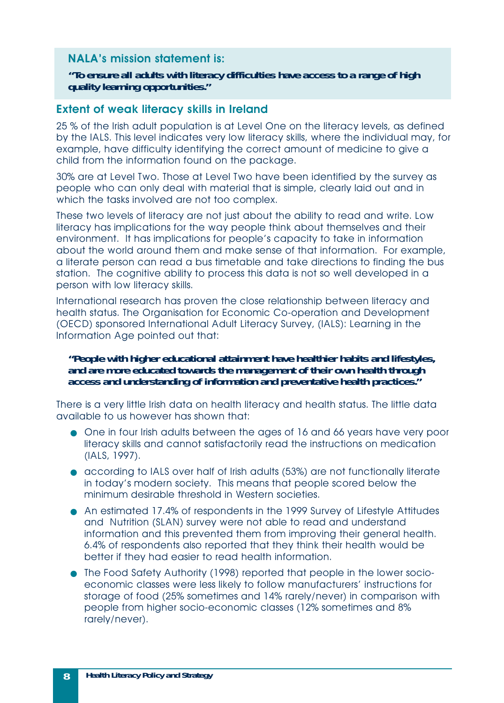#### **NALA's mission statement is:**

*"To ensure all adults with literacy difficulties have access to a range of high quality learning opportunities."*

#### **Extent of weak literacy skills in Ireland**

25 % of the Irish adult population is at Level One on the literacy levels, as defined by the IALS. This level indicates very low literacy skills, where the individual may, for example, have difficulty identifying the correct amount of medicine to give a child from the information found on the package.

30% are at Level Two. Those at Level Two have been identified by the survey as people who can only deal with material that is simple, clearly laid out and in which the tasks involved are not too complex.

These two levels of literacy are not just about the ability to read and write. Low literacy has implications for the way people think about themselves and their environment. It has implications for people's capacity to take in information about the world around them and make sense of that information. For example, a literate person can read a bus timetable and take directions to finding the bus station. The cognitive ability to process this data is not so well developed in a person with low literacy skills.

International research has proven the close relationship between literacy and health status. The Organisation for Economic Co-operation and Development (OECD) sponsored International Adult Literacy Survey, (IALS): Learning in the Information Age pointed out that:

#### *"People with higher educational attainment have healthier habits and lifestyles, and are more educated towards the management of their own health through access and understanding of information and preventative health practices."*

There is a very little Irish data on health literacy and health status. The little data available to us however has shown that:

- One in four Irish adults between the ages of 16 and 66 years have very poor literacy skills and cannot satisfactorily read the instructions on medication (IALS, 1997).
- according to IALS over half of Irish adults (53%) are not functionally literate in today's modern society. This means that people scored below the minimum desirable threshold in Western societies.
- An estimated 17.4% of respondents in the 1999 Survey of Lifestyle Attitudes and Nutrition (SLAN) survey were not able to read and understand information and this prevented them from improving their general health. 6.4% of respondents also reported that they think their health would be better if they had easier to read health information.
- The Food Safety Authority (1998) reported that people in the lower socioeconomic classes were less likely to follow manufacturers' instructions for storage of food (25% sometimes and 14% rarely/never) in comparison with people from higher socio-economic classes (12% sometimes and 8% rarely/never).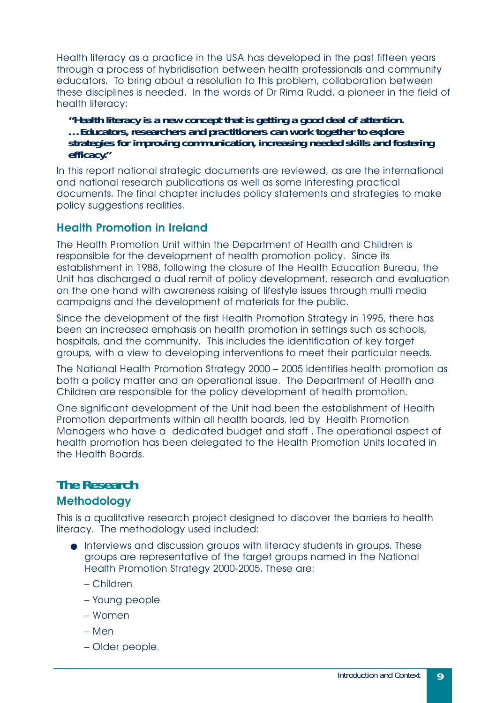Health literacy as a practice in the USA has developed in the past fifteen years through a process of hybridisation between health professionals and community educators. To bring about a resolution to this problem, collaboration between these disciplines is needed. In the words of Dr Rima Rudd, a pioneer in the field of health literacy:

*"Health literacy is a new concept that is getting a good deal of attention. …Educators, researchers and practitioners can work together to explore strategies for improving communication, increasing needed skills and fostering efficacy."*

In this report national strategic documents are reviewed, as are the international and national research publications as well as some interesting practical documents. The final chapter includes policy statements and strategies to make policy suggestions realities.

#### **Health Promotion in Ireland**

The Health Promotion Unit within the Department of Health and Children is responsible for the development of health promotion policy. Since its establishment in 1988, following the closure of the Health Education Bureau, the Unit has discharged a dual remit of policy development, research and evaluation on the one hand with awareness raising of lifestyle issues through multi media campaigns and the development of materials for the public.

Since the development of the first Health Promotion Strategy in 1995, there has been an increased emphasis on health promotion in settings such as schools, hospitals, and the community. This includes the identification of key target groups, with a view to developing interventions to meet their particular needs.

The National Health Promotion Strategy 2000 – 2005 identifies health promotion as both a policy matter and an operational issue. The Department of Health and Children are responsible for the policy development of health promotion.

One significant development of the Unit had been the establishment of Health Promotion departments within all health boards, led by Health Promotion Managers who have a dedicated budget and staff . The operational aspect of health promotion has been delegated to the Health Promotion Units located in the Health Boards.

### **The Research**

#### **Methodology**

This is a qualitative research project designed to discover the barriers to health literacy. The methodology used included:

- Interviews and discussion groups with literacy students in groups. These groups are representative of the target groups named in the National Health Promotion Strategy 2000-2005. These are:
	- Children
	- Young people
	- Women
	- Men
	- Older people.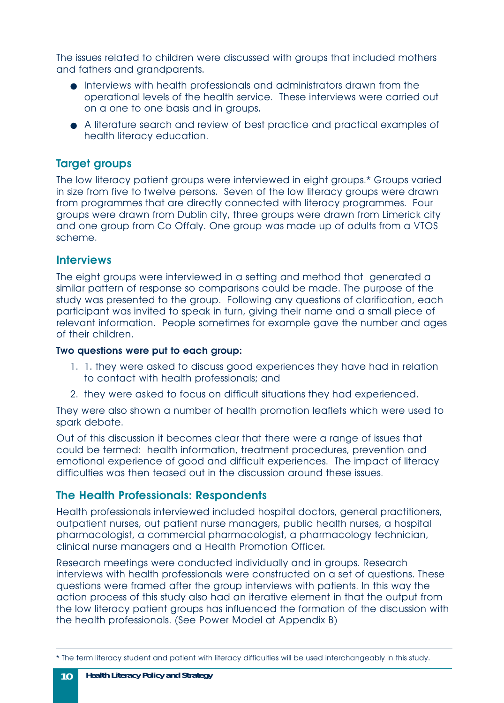The issues related to children were discussed with groups that included mothers and fathers and grandparents.

- Interviews with health professionals and administrators drawn from the operational levels of the health service. These interviews were carried out on a one to one basis and in groups.
- A literature search and review of best practice and practical examples of health literacy education.

#### **Target groups**

The low literacy patient groups were interviewed in eight groups.\* Groups varied in size from five to twelve persons. Seven of the low literacy groups were drawn from programmes that are directly connected with literacy programmes. Four groups were drawn from Dublin city, three groups were drawn from Limerick city and one group from Co Offaly. One group was made up of adults from a VTOS scheme.

#### **Interviews**

The eight groups were interviewed in a setting and method that generated a similar pattern of response so comparisons could be made. The purpose of the study was presented to the group. Following any questions of clarification, each participant was invited to speak in turn, giving their name and a small piece of relevant information. People sometimes for example gave the number and ages of their children.

#### **Two questions were put to each group:**

- 1. 1. they were asked to discuss good experiences they have had in relation to contact with health professionals; and
- 2. they were asked to focus on difficult situations they had experienced.

They were also shown a number of health promotion leaflets which were used to spark debate.

Out of this discussion it becomes clear that there were a range of issues that could be termed: health information, treatment procedures, prevention and emotional experience of good and difficult experiences. The impact of literacy difficulties was then teased out in the discussion around these issues.

#### **The Health Professionals: Respondents**

Health professionals interviewed included hospital doctors, general practitioners, outpatient nurses, out patient nurse managers, public health nurses, a hospital pharmacologist, a commercial pharmacologist, a pharmacology technician, clinical nurse managers and a Health Promotion Officer.

Research meetings were conducted individually and in groups. Research interviews with health professionals were constructed on a set of questions. These questions were framed after the group interviews with patients. In this way the action process of this study also had an iterative element in that the output from the low literacy patient groups has influenced the formation of the discussion with the health professionals. (See Power Model at Appendix B)

<sup>\*</sup> The term literacy student and patient with literacy difficulties will be used interchangeably in this study.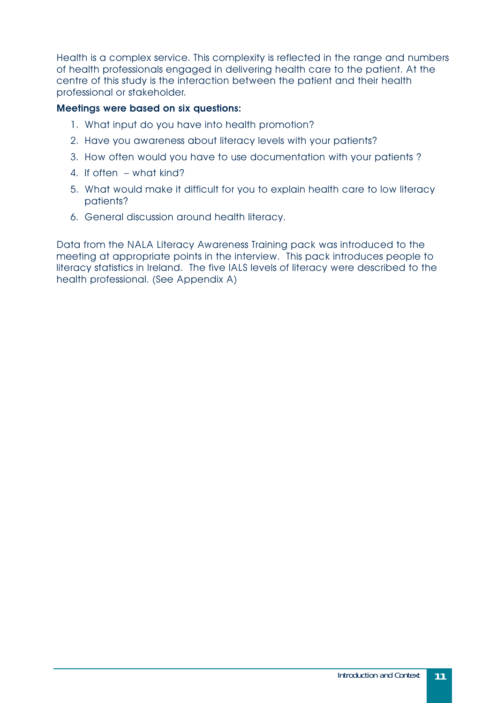Health is a complex service. This complexity is reflected in the range and numbers of health professionals engaged in delivering health care to the patient. At the centre of this study is the interaction between the patient and their health professional or stakeholder.

#### **Meetings were based on six questions:**

- 1. What input do you have into health promotion?
- 2. Have you awareness about literacy levels with your patients?
- 3. How often would you have to use documentation with your patients ?
- 4. If often what kind?
- 5. What would make it difficult for you to explain health care to low literacy patients?
- 6. General discussion around health literacy.

Data from the NALA Literacy Awareness Training pack was introduced to the meeting at appropriate points in the interview. This pack introduces people to literacy statistics in Ireland. The five IALS levels of literacy were described to the health professional. (See Appendix A)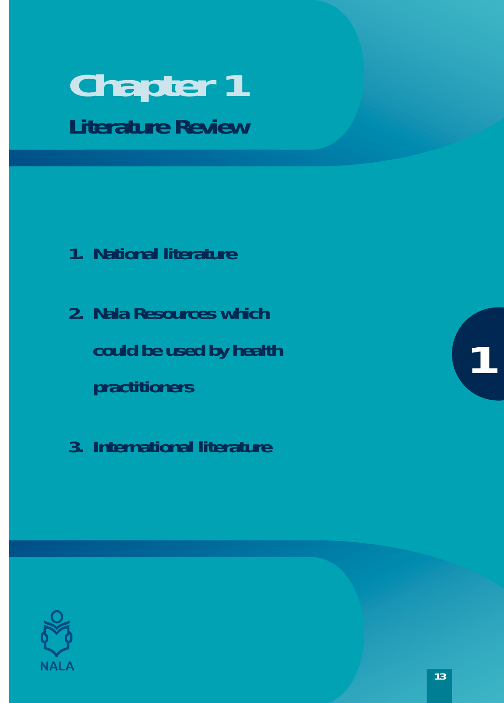# <span id="page-12-0"></span>**Chapter 1 Literature Review**

- **1. National literature**
- **2. Nala Resources which could be used by health practitioners**
- **3. International literature**



**1**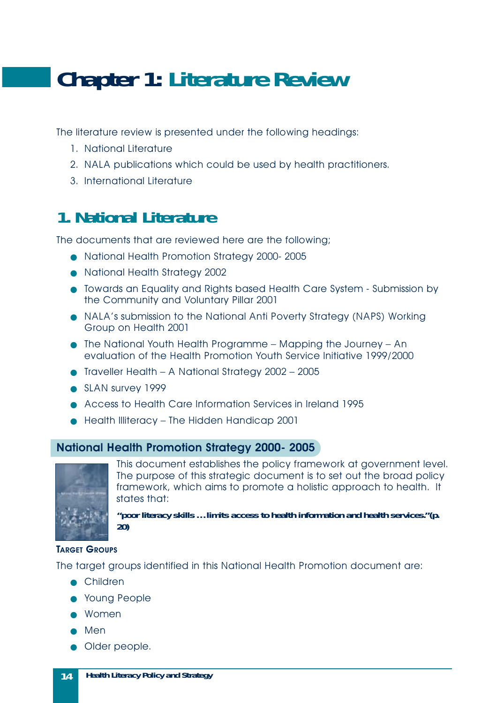# <span id="page-13-0"></span>**Chapter 1: Literature Review**

The literature review is presented under the following headings:

- 1. National Literature
- 2. NALA publications which could be used by health practitioners.
- 3. International Literature

# **1. National Literature**

The documents that are reviewed here are the following;

- National Health Promotion Strategy 2000- 2005
- National Health Strategy 2002
- Towards an Equality and Rights based Health Care System Submission by the Community and Voluntary Pillar 2001
- NALA's submission to the National Anti Poverty Strategy (NAPS) Working Group on Health 2001
- The National Youth Health Programme Mapping the Journey An evaluation of the Health Promotion Youth Service Initiative 1999/2000
- Traveller Health A National Strategy 2002 2005
- SLAN survey 1999
- Access to Health Care Information Services in Ireland 1995
- Health Illiteracy The Hidden Handicap 2001

#### **National Health Promotion Strategy 2000- 2005**



This document establishes the policy framework at government level. The purpose of this strategic document is to set out the broad policy framework, which aims to promote a holistic approach to health. It states that:

*"poor literacy skills …limits access to health information and health services."(p. 20)*

#### **TARGET GROUPS**

The target groups identified in this National Health Promotion document are:

- Children
- Young People
- Women
- Men
- Older people.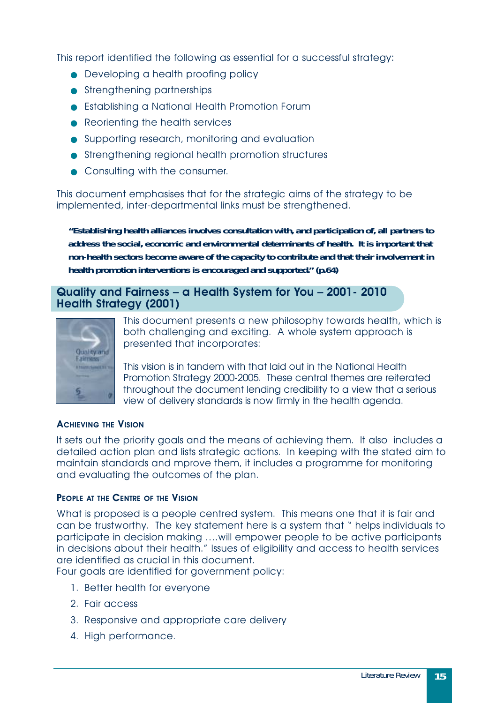This report identified the following as essential for a successful strategy:

- Developing a health proofing policy
- Strengthening partnerships
- Establishing a National Health Promotion Forum
- Reorienting the health services
- Supporting research, monitoring and evaluation
- Strengthening regional health promotion structures
- Consulting with the consumer.

This document emphasises that for the strategic aims of the strategy to be implemented, inter-departmental links must be strengthened.

*"Establishing health alliances involves consultation with, and participation of, all partners to address the social, economic and environmental determinants of health. It is important that non-health sectors become aware of the capacity to contribute and that their involvement in health promotion interventions is encouraged and supported." (p.64)* 

#### **Quality and Fairness – a Health System for You – 2001- 2010 Health Strategy (2001)**



This document presents a new philosophy towards health, which is both challenging and exciting. A whole system approach is presented that incorporates:

This vision is in tandem with that laid out in the National Health Promotion Strategy 2000-2005. These central themes are reiterated throughout the document lending credibility to a view that a serious view of delivery standards is now firmly in the health agenda.

#### **ACHIEVING THE VISION**

It sets out the priority goals and the means of achieving them. It also includes a detailed action plan and lists strategic actions. In keeping with the stated aim to maintain standards and mprove them, it includes a programme for monitoring and evaluating the outcomes of the plan.

#### **PEOPLE AT THE CENTRE OF THE VISION**

What is proposed is a people centred system. This means one that it is fair and can be trustworthy. The key statement here is a system that " helps individuals to participate in decision making ….will empower people to be active participants in decisions about their health." Issues of eligibility and access to health services are identified as crucial in this document.

Four goals are identified for government policy:

- 1. Better health for everyone
- 2. Fair access
- 3. Responsive and appropriate care delivery
- 4. High performance.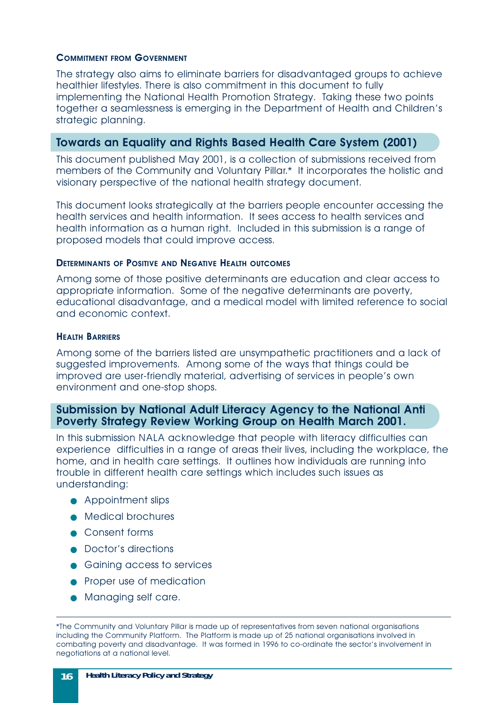#### **COMMITMENT FROM GOVERNMENT**

The strategy also aims to eliminate barriers for disadvantaged groups to achieve healthier lifestyles. There is also commitment in this document to fully implementing the National Health Promotion Strategy. Taking these two points together a seamlessness is emerging in the Department of Health and Children's strategic planning.

#### **Towards an Equality and Rights Based Health Care System (2001)**

This document published May 2001, is a collection of submissions received from members of the Community and Voluntary Pillar.\* It incorporates the holistic and visionary perspective of the national health strategy document.

This document looks strategically at the barriers people encounter accessing the health services and health information. It sees access to health services and health information as a human right. Included in this submission is a range of proposed models that could improve access.

#### **DETERMINANTS OF POSITIVE AND NEGATIVE HEALTH OUTCOMES**

Among some of those positive determinants are education and clear access to appropriate information. Some of the negative determinants are poverty, educational disadvantage, and a medical model with limited reference to social and economic context.

#### **HEALTH BARRIERS**

Among some of the barriers listed are unsympathetic practitioners and a lack of suggested improvements. Among some of the ways that things could be improved are user-friendly material, advertising of services in people's own environment and one-stop shops.

#### **Submission by National Adult Literacy Agency to the National Anti Poverty Strategy Review Working Group on Health March 2001.**

In this submission NALA acknowledge that people with literacy difficulties can experience difficulties in a range of areas their lives, including the workplace, the home, and in health care settings. It outlines how individuals are running into trouble in different health care settings which includes such issues as understanding:

- Appointment slips
- Medical brochures
- Consent forms
- Doctor's directions
- Gaining access to services
- Proper use of medication
- Managing self care.

<sup>\*</sup>The Community and Voluntary Pillar is made up of representatives from seven national organisations including the Community Platform. The Platform is made up of 25 national organisations involved in combating poverty and disadvantage. It was formed in 1996 to co-ordinate the sector's involvement in negotiations at a national level.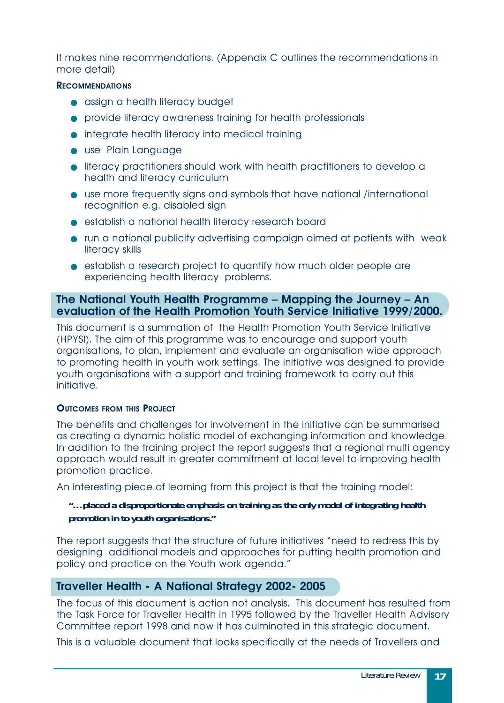It makes nine recommendations. (Appendix C outlines the recommendations in more detail)

#### **RECOMMENDATIONS**

- assign a health literacy budget
- provide literacy awareness training for health professionals
- integrate health literacy into medical training
- use Plain Language
- literacy practitioners should work with health practitioners to develop a health and literacy curriculum
- use more frequently signs and symbols that have national /international recognition e.g. disabled sign
- establish a national health literacy research board
- run a national publicity advertising campaign aimed at patients with weak literacy skills
- establish a research project to quantify how much older people are experiencing health literacy problems.

#### **The National Youth Health Programme – Mapping the Journey – An evaluation of the Health Promotion Youth Service Initiative 1999/2000.**

This document is a summation of the Health Promotion Youth Service Initiative (HPYSI). The aim of this programme was to encourage and support youth organisations, to plan, implement and evaluate an organisation wide approach to promoting health in youth work settings. The initiative was designed to provide youth organisations with a support and training framework to carry out this initiative.

#### **OUTCOMES FROM THIS PROJECT**

The benefits and challenges for involvement in the initiative can be summarised as creating a dynamic holistic model of exchanging information and knowledge. In addition to the training project the report suggests that a regional multi agency approach would result in greater commitment at local level to improving health promotion practice.

An interesting piece of learning from this project is that the training model:

#### *"…placed a disproportionate emphasis on training as the only model of integrating health promotion in to youth organisations."*

The report suggests that the structure of future initiatives "need to redress this by designing additional models and approaches for putting health promotion and policy and practice on the Youth work agenda."

#### **Traveller Health - A National Strategy 2002- 2005**

The focus of this document is action not analysis. This document has resulted from the Task Force for Traveller Health in 1995 followed by the Traveller Health Advisory Committee report 1998 and now it has culminated in this strategic document.

This is a valuable document that looks specifically at the needs of Travellers and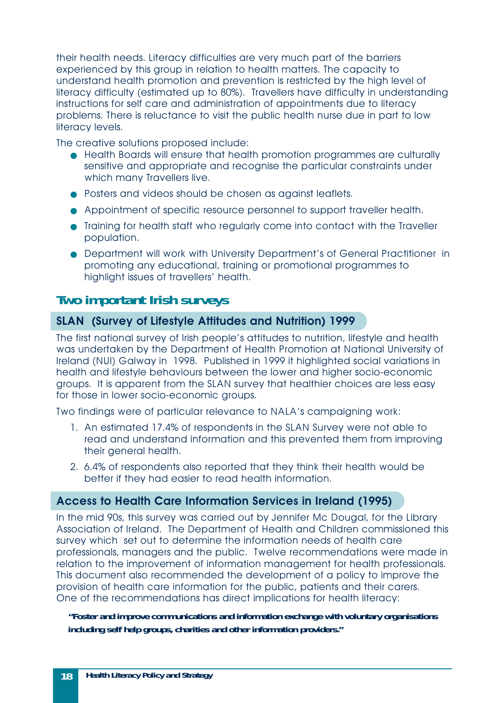their health needs. Literacy difficulties are very much part of the barriers experienced by this group in relation to health matters. The capacity to understand health promotion and prevention is restricted by the high level of literacy difficulty (estimated up to 80%). Travellers have difficulty in understanding instructions for self care and administration of appointments due to literacy problems. There is reluctance to visit the public health nurse due in part to low literacy levels.

The creative solutions proposed include:

- Health Boards will ensure that health promotion programmes are culturally sensitive and appropriate and recognise the particular constraints under which many Travellers live.
- Posters and videos should be chosen as against leaflets.
- Appointment of specific resource personnel to support traveller health.
- Training for health staff who regularly come into contact with the Traveller population.
- Department will work with University Department's of General Practitioner in promoting any educational, training or promotional programmes to highlight issues of travellers' health.

#### **Two important Irish surveys**

#### **SLAN (Survey of Lifestyle Attitudes and Nutrition) 1999**

The first national survey of Irish people's attitudes to nutrition, lifestyle and health was undertaken by the Department of Health Promotion at National University of Ireland (NUI) Galway in 1998. Published in 1999 it highlighted social variations in health and lifestyle behaviours between the lower and higher socio-economic groups. It is apparent from the SLAN survey that healthier choices are less easy for those in lower socio-economic groups.

Two findings were of particular relevance to NALA's campaigning work:

- 1. An estimated 17.4% of respondents in the SLAN Survey were not able to read and understand information and this prevented them from improving their general health.
- 2. 6.4% of respondents also reported that they think their health would be better if they had easier to read health information.

#### **Access to Health Care Information Services in Ireland (1995)**

In the mid 90s, this survey was carried out by Jennifer Mc Dougal, for the Library Association of Ireland. The Department of Health and Children commissioned this survey which set out to determine the information needs of health care professionals, managers and the public. Twelve recommendations were made in relation to the improvement of information management for health professionals. This document also recommended the development of a policy to improve the provision of health care information for the public, patients and their carers. One of the recommendations has direct implications for health literacy:

#### *"Foster and improve communications and information exchange with voluntary organisations including self help groups, charities and other information providers."*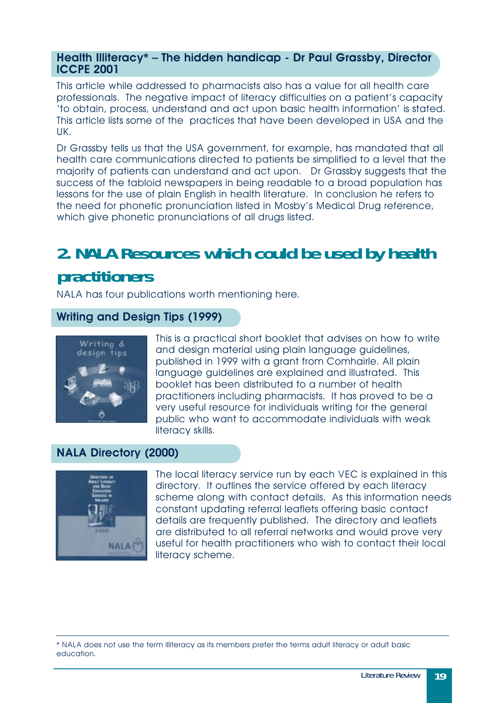#### <span id="page-18-0"></span>**Health Illiteracy\* – The hidden handicap - Dr Paul Grassby, Director ICCPE 2001**

This article while addressed to pharmacists also has a value for all health care professionals. The negative impact of literacy difficulties on a patient's capacity 'to obtain, process, understand and act upon basic health information' is stated. This article lists some of the practices that have been developed in USA and the UK.

Dr Grassby tells us that the USA government, for example, has mandated that all health care communications directed to patients be simplified to a level that the majority of patients can understand and act upon. Dr Grassby suggests that the success of the tabloid newspapers in being readable to a broad population has lessons for the use of plain English in health literature. In conclusion he refers to the need for phonetic pronunciation listed in Mosby's Medical Drug reference, which give phonetic pronunciations of all drugs listed.

# **2. NALA Resources which could be used by health practitioners**

NALA has four publications worth mentioning here.

#### **Writing and Design Tips (1999)**



This is a practical short booklet that advises on how to write and design material using plain language guidelines, published in 1999 with a grant from Comhairle. All plain language guidelines are explained and illustrated. This booklet has been distributed to a number of health practitioners including pharmacists. It has proved to be a very useful resource for individuals writing for the general public who want to accommodate individuals with weak literacy skills.

#### **NALA Directory (2000)**



The local literacy service run by each VEC is explained in this directory. It outlines the service offered by each literacy scheme along with contact details. As this information needs constant updating referral leaflets offering basic contact details are frequently published. The directory and leaflets are distributed to all referral networks and would prove very useful for health practitioners who wish to contact their local literacy scheme.

<sup>\*</sup> NALA does not use the term illiteracy as its members prefer the terms adult literacy or adult basic education.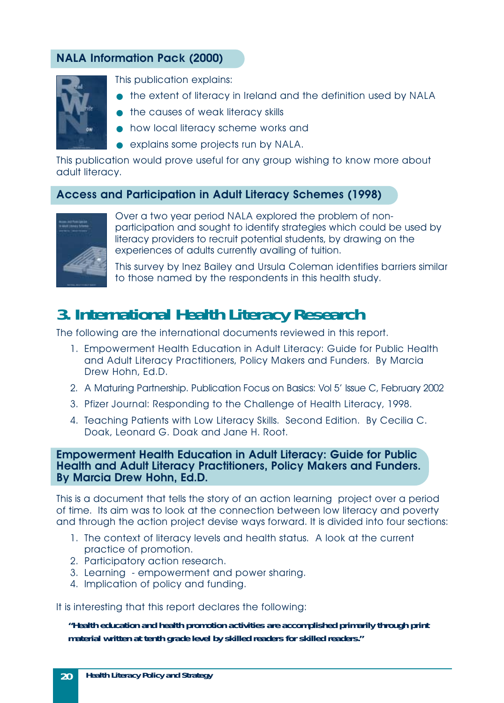#### <span id="page-19-0"></span>**NALA Information Pack (2000)**



This publication explains:

- the extent of literacy in Ireland and the definition used by NALA
- the causes of weak literacy skills
- how local literacy scheme works and
- explains some projects run by NALA.

This publication would prove useful for any group wishing to know more about adult literacy.

#### **Access and Participation in Adult Literacy Schemes (1998)**



Over a two year period NALA explored the problem of nonparticipation and sought to identify strategies which could be used by literacy providers to recruit potential students, by drawing on the experiences of adults currently availing of tuition.

This survey by Inez Bailey and Ursula Coleman identifies barriers similar to those named by the respondents in this health study.

## **3. International Health Literacy Research**

The following are the international documents reviewed in this report.

- 1. Empowerment Health Education in Adult Literacy: Guide for Public Health and Adult Literacy Practitioners, Policy Makers and Funders. By Marcia Drew Hohn, Ed.D.
- 2. A Maturing Partnership. Publication Focus on Basics: Vol 5' Issue C, February 2002
- 3. Pfizer Journal: Responding to the Challenge of Health Literacy, 1998.
- 4. Teaching Patients with Low Literacy Skills. Second Edition. By Cecilia C. Doak, Leonard G. Doak and Jane H. Root.

#### **Empowerment Health Education in Adult Literacy: Guide for Public Health and Adult Literacy Practitioners, Policy Makers and Funders. By Marcia Drew Hohn, Ed.D.**

This is a document that tells the story of an action learning project over a period of time. Its aim was to look at the connection between low literacy and poverty and through the action project devise ways forward. It is divided into four sections:

- 1. The context of literacy levels and health status. A look at the current practice of promotion.
- 2. Participatory action research.
- 3. Learning empowerment and power sharing.
- 4. Implication of policy and funding.

It is interesting that this report declares the following:

*"Health education and health promotion activities are accomplished primarily through print material written at tenth grade level by skilled readers for skilled readers."*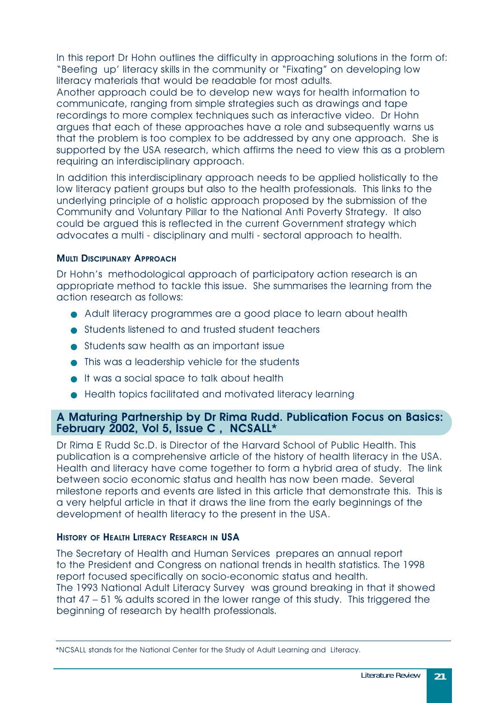In this report Dr Hohn outlines the difficulty in approaching solutions in the form of: "Beefing up' literacy skills in the community or "Fixating" on developing low literacy materials that would be readable for most adults.

Another approach could be to develop new ways for health information to communicate, ranging from simple strategies such as drawings and tape recordings to more complex techniques such as interactive video. Dr Hohn argues that each of these approaches have a role and subsequently warns us that the problem is too complex to be addressed by any one approach. She is supported by the USA research, which affirms the need to view this as a problem requiring an interdisciplinary approach.

In addition this interdisciplinary approach needs to be applied holistically to the low literacy patient groups but also to the health professionals. This links to the underlying principle of a holistic approach proposed by the submission of the Community and Voluntary Pillar to the National Anti Poverty Strategy. It also could be argued this is reflected in the current Government strategy which advocates a multi - disciplinary and multi - sectoral approach to health.

#### **MULTI DISCIPLINARY APPROACH**

Dr Hohn's methodological approach of participatory action research is an appropriate method to tackle this issue. She summarises the learning from the action research as follows:

- Adult literacy programmes are a good place to learn about health
- Students listened to and trusted student teachers
- Students saw health as an important issue
- This was a leadership vehicle for the students
- It was a social space to talk about health
- Health topics facilitated and motivated literacy learning

#### **A Maturing Partnership by Dr Rima Rudd. Publication Focus on Basics: February 2002, Vol 5, Issue C , NCSALL\***

Dr Rima E Rudd Sc.D. is Director of the Harvard School of Public Health. This publication is a comprehensive article of the history of health literacy in the USA. Health and literacy have come together to form a hybrid area of study. The link between socio economic status and health has now been made. Several milestone reports and events are listed in this article that demonstrate this. This is a very helpful article in that it draws the line from the early beginnings of the development of health literacy to the present in the USA.

#### **HISTORY OF HEALTH LITERACY RESEARCH IN USA**

The Secretary of Health and Human Services prepares an annual report to the President and Congress on national trends in health statistics. The 1998 report focused specifically on socio-economic status and health. The 1993 National Adult Literacy Survey was ground breaking in that it showed that 47 – 51 % adults scored in the lower range of this study. This triggered the beginning of research by health professionals.

<sup>\*</sup>NCSALL stands for the National Center for the Study of Adult Learning and Literacy.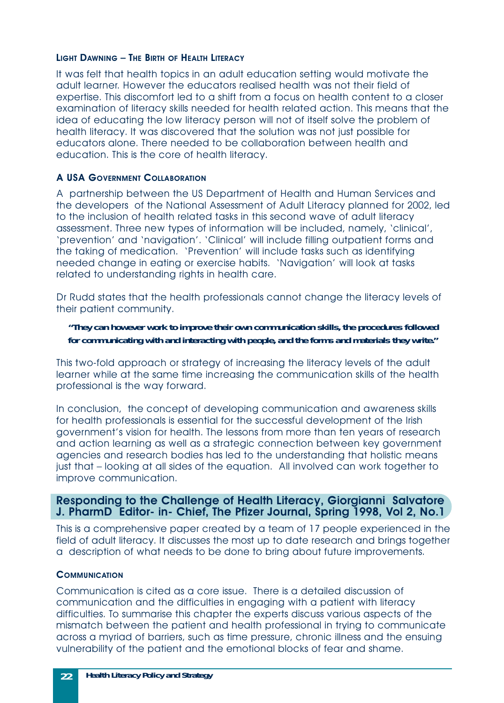#### **LIGHT D AWNING – THE BIRTH OF HEALTH LITERACY**

It was felt that health topics in an adult education setting would motivate the adult learner. However the educators realised health was not their field of expertise. This discomfort led to a shift from a focus on health content to a closer examination of literacy skills needed for health related action. This means that the idea of educating the low literacy person will not of itself solve the problem of health literacy. It was discovered that the solution was not just possible for educators alone. There needed to be collaboration between health and education. This is the core of health literacy.

#### **A USA GOVERNMENT COLLABORATION**

A partnership between the US Department of Health and Human Services and the developers of the National Assessment of Adult Literacy planned for 2002, led to the inclusion of health related tasks in this second wave of adult literacy assessment. Three new types of information will be included, namely, 'clinical', 'prevention' and 'navigation'. 'Clinical' will include filling outpatient forms and the taking of medication. 'Prevention' will include tasks such as identifying needed change in eating or exercise habits. 'Navigation' will look at tasks related to understanding rights in health care.

Dr Rudd states that the health professionals cannot change the literacy levels of their patient community.

#### *"They can however work to improve their own communication skills, the procedures followed for communicating with and interacting with people, and the forms and materials they write."*

This two-fold approach or strategy of increasing the literacy levels of the adult learner while at the same time increasing the communication skills of the health professional is the way forward.

In conclusion, the concept of developing communication and awareness skills for health professionals is essential for the successful development of the Irish government's vision for health. The lessons from more than ten years of research and action learning as well as a strategic connection between key government agencies and research bodies has led to the understanding that holistic means just that – looking at all sides of the equation. All involved can work together to improve communication.

#### **Responding to the Challenge of Health Literacy, Giorgianni Salvatore J. PharmD Editor- in- Chief, The Pfizer Journal, Spring 1998, Vol 2, No.1**

This is a comprehensive paper created by a team of 17 people experienced in the field of adult literacy. It discusses the most up to date research and brings together a description of what needs to be done to bring about future improvements.

#### **COMMUNICATION**

Communication is cited as a core issue. There is a detailed discussion of communication and the difficulties in engaging with a patient with literacy difficulties. To summarise this chapter the experts discuss various aspects of the mismatch between the patient and health professional in trying to communicate across a myriad of barriers, such as time pressure, chronic illness and the ensuing vulnerability of the patient and the emotional blocks of fear and shame.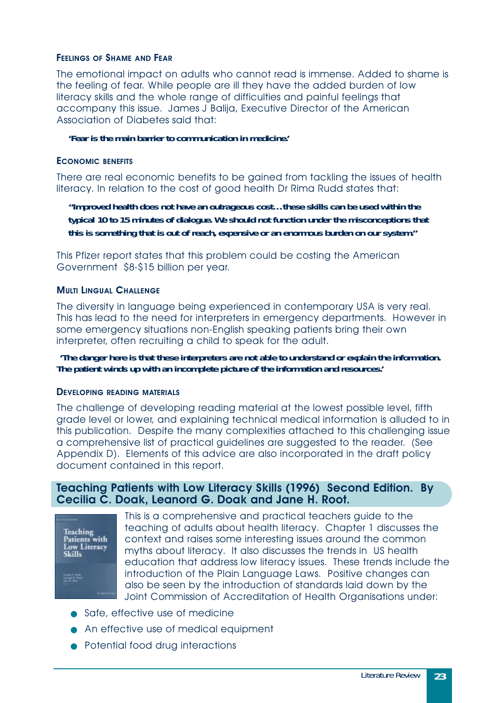#### **FEELINGS OF SHAME AND FEAR**

The emotional impact on adults who cannot read is immense. Added to shame is the feeling of fear. While people are ill they have the added burden of low literacy skills and the whole range of difficulties and painful feelings that accompany this issue. James J Balija, Executive Director of the American Association of Diabetes said that:

*'Fear is the main barrier to communication in medicine.'*

#### **ECONOMIC BENEFITS**

There are real economic benefits to be gained from tackling the issues of health literacy. In relation to the cost of good health Dr Rima Rudd states that:

*"Improved health does not have an outrageous cost…these skills can be used within the typical 10 to 15 minutes of dialogue. We should not function under the misconceptions that this is something that is out of reach, expensive or an enormous burden on our system."*

This Pfizer report states that this problem could be costing the American Government \$8-\$15 billion per year.

#### **MULTI LINGUAL CHALLENGE**

The diversity in language being experienced in contemporary USA is very real. This has lead to the need for interpreters in emergency departments. However in some emergency situations non-English speaking patients bring their own interpreter, often recruiting a child to speak for the adult.

*'The danger here is that these interpreters are not able to understand or explain the information. The patient winds up with an incomplete picture of the information and resources.'*

#### **DEVELOPING READING MATERIALS**

The challenge of developing reading material at the lowest possible level, fifth grade level or lower, and explaining technical medical information is alluded to in this publication. Despite the many complexities attached to this challenging issue a comprehensive list of practical guidelines are suggested to the reader. (See Appendix D). Elements of this advice are also incorporated in the draft policy document contained in this report.

#### **Teaching Patients with Low Literacy Skills (1996) Second Edition. By Cecilia C. Doak, Leanord G. Doak and Jane H. Root.**



This is a comprehensive and practical teachers guide to the teaching of adults about health literacy. Chapter 1 discusses the context and raises some interesting issues around the common myths about literacy. It also discusses the trends in US health education that address low literacy issues. These trends include the introduction of the Plain Language Laws. Positive changes can also be seen by the introduction of standards laid down by the Joint Commission of Accreditation of Health Organisations under:

- Safe, effective use of medicine
- An effective use of medical equipment
- Potential food drug interactions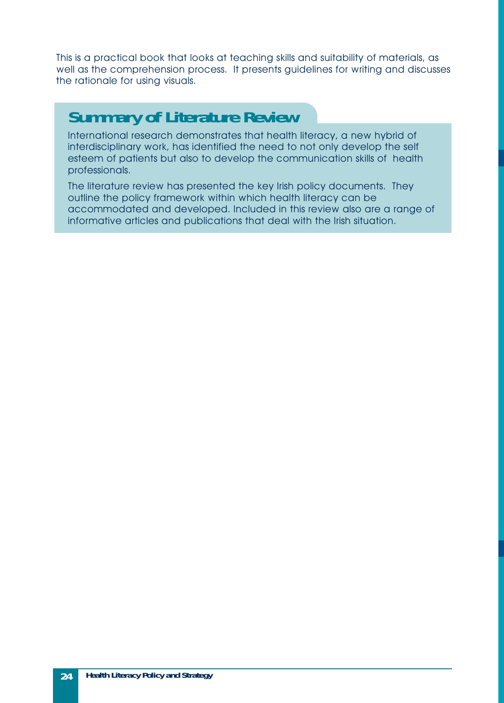This is a practical book that looks at teaching skills and suitability of materials, as well as the comprehension process. It presents guidelines for writing and discusses the rationale for using visuals.

## **Summary of Literature Review**

International research demonstrates that health literacy, a new hybrid of interdisciplinary work, has identified the need to not only develop the self esteem of patients but also to develop the communication skills of health professionals.

The literature review has presented the key Irish policy documents. They outline the policy framework within which health literacy can be accommodated and developed. Included in this review also are a range of informative articles and publications that deal with the Irish situation.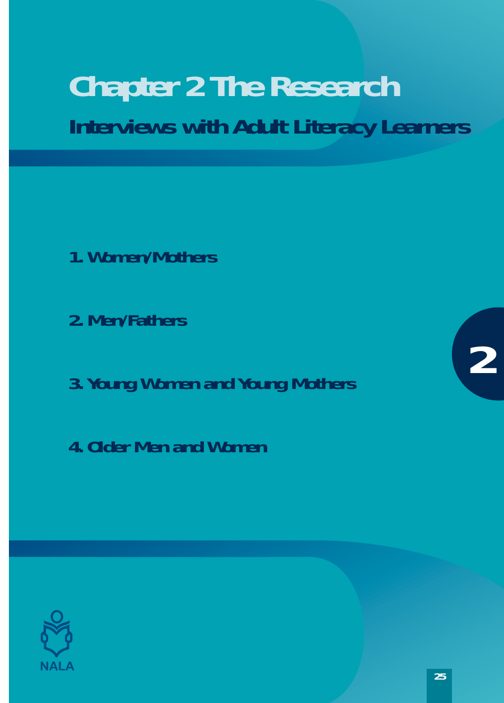# <span id="page-24-0"></span>**Chapter 2 The Research Interviews with Adult Literacy Learners**

- **1. Women/Mothers**
- **2. Men/Fathers**
- **3. Young Women and Young Mothers**
- **4. Older Men and Women**



**2**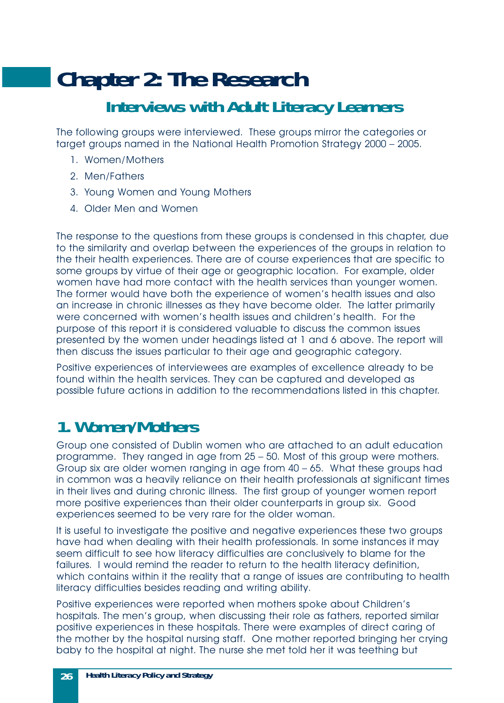# <span id="page-25-0"></span>**Chapter 2: The Research Interviews with Adult Literacy Learners**

The following groups were interviewed. These groups mirror the categories or target groups named in the National Health Promotion Strategy 2000 – 2005.

- 1. Women/Mothers
- 2. Men/Fathers
- 3. Young Women and Young Mothers
- 4. Older Men and Women

The response to the questions from these groups is condensed in this chapter, due to the similarity and overlap between the experiences of the groups in relation to the their health experiences. There are of course experiences that are specific to some groups by virtue of their age or geographic location. For example, older women have had more contact with the health services than younger women. The former would have both the experience of women's health issues and also an increase in chronic illnesses as they have become older. The latter primarily were concerned with women's health issues and children's health. For the purpose of this report it is considered valuable to discuss the common issues presented by the women under headings listed at 1 and 6 above. The report will then discuss the issues particular to their age and geographic category.

Positive experiences of interviewees are examples of excellence already to be found within the health services. They can be captured and developed as possible future actions in addition to the recommendations listed in this chapter.

### **1. Women/Mothers**

Group one consisted of Dublin women who are attached to an adult education programme. They ranged in age from 25 – 50. Most of this group were mothers. Group six are older women ranging in age from 40 – 65. What these groups had in common was a heavily reliance on their health professionals at significant times in their lives and during chronic illness. The first group of younger women report more positive experiences than their older counterparts in group six. Good experiences seemed to be very rare for the older woman.

It is useful to investigate the positive and negative experiences these two groups have had when dealing with their health professionals. In some instances it may seem difficult to see how literacy difficulties are conclusively to blame for the failures. I would remind the reader to return to the health literacy definition, which contains within it the reality that a range of issues are contributing to health literacy difficulties besides reading and writing ability.

Positive experiences were reported when mothers spoke about Children's hospitals. The men's group, when discussing their role as fathers, reported similar positive experiences in these hospitals. There were examples of direct caring of the mother by the hospital nursing staff. One mother reported bringing her crying baby to the hospital at night. The nurse she met told her it was teething but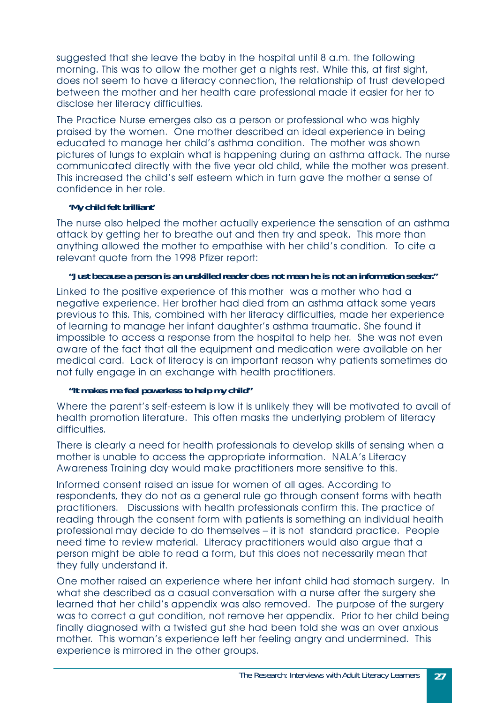suggested that she leave the baby in the hospital until 8 a.m. the following morning. This was to allow the mother get a nights rest. While this, at first sight, does not seem to have a literacy connection, the relationship of trust developed between the mother and her health care professional made it easier for her to disclose her literacy difficulties.

The Practice Nurse emerges also as a person or professional who was highly praised by the women. One mother described an ideal experience in being educated to manage her child's asthma condition. The mother was shown pictures of lungs to explain what is happening during an asthma attack. The nurse communicated directly with the five year old child, while the mother was present. This increased the child's self esteem which in turn gave the mother a sense of confidence in her role.

#### *'My child felt brilliant'*

The nurse also helped the mother actually experience the sensation of an asthma attack by getting her to breathe out and then try and speak. This more than anything allowed the mother to empathise with her child's condition. To cite a relevant quote from the 1998 Pfizer report:

#### *"Just because a person is an unskilled reader does not mean he is not an information seeker."*

Linked to the positive experience of this mother was a mother who had a negative experience. Her brother had died from an asthma attack some years previous to this. This, combined with her literacy difficulties, made her experience of learning to manage her infant daughter's asthma traumatic. She found it impossible to access a response from the hospital to help her. She was not even aware of the fact that all the equipment and medication were available on her medical card. Lack of literacy is an important reason why patients sometimes do not fully engage in an exchange with health practitioners.

#### *"It makes me feel powerless to help my child"*

Where the parent's self-esteem is low it is unlikely they will be motivated to avail of health promotion literature. This often masks the underlying problem of literacy difficulties.

There is clearly a need for health professionals to develop skills of sensing when a mother is unable to access the appropriate information. NALA's Literacy Awareness Training day would make practitioners more sensitive to this.

Informed consent raised an issue for women of all ages. According to respondents, they do not as a general rule go through consent forms with heath practitioners. Discussions with health professionals confirm this. The practice of reading through the consent form with patients is something an individual health professional may decide to do themselves – it is not standard practice. People need time to review material. Literacy practitioners would also argue that a person might be able to read a form, but this does not necessarily mean that they fully understand it.

One mother raised an experience where her infant child had stomach surgery. In what she described as a casual conversation with a nurse after the surgery she learned that her child's appendix was also removed. The purpose of the surgery was to correct a gut condition, not remove her appendix. Prior to her child being finally diagnosed with a twisted gut she had been told she was an over anxious mother. This woman's experience left her feeling angry and undermined. This experience is mirrored in the other groups.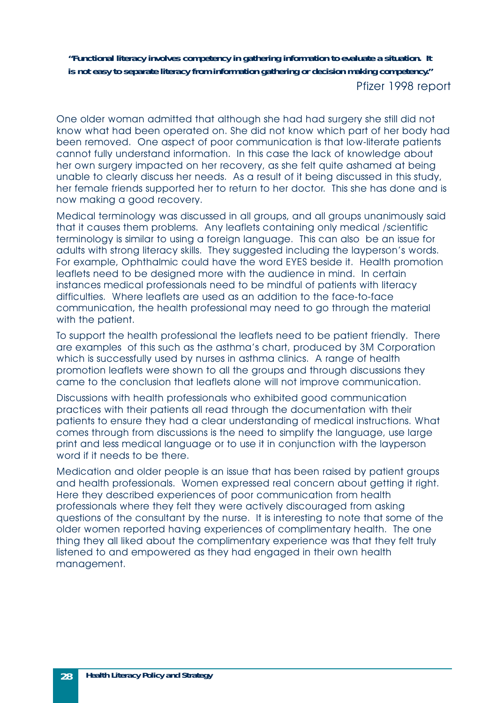*"Functional literacy involves competency in gathering information to evaluate a situation. It is not easy to separate literacy from information gathering or decision making competency."* Pfizer 1998 report

One older woman admitted that although she had had surgery she still did not know what had been operated on. She did not know which part of her body had been removed. One aspect of poor communication is that low-literate patients cannot fully understand information. In this case the lack of knowledge about her own surgery impacted on her recovery, as she felt quite ashamed at being unable to clearly discuss her needs. As a result of it being discussed in this study, her female friends supported her to return to her doctor. This she has done and is now making a good recovery.

Medical terminology was discussed in all groups, and all groups unanimously said that it causes them problems. Any leaflets containing only medical /scientific terminology is similar to using a foreign language. This can also be an issue for adults with strong literacy skills. They suggested including the layperson's words. For example, Ophthalmic could have the word EYES beside it. Health promotion leaflets need to be designed more with the audience in mind. In certain instances medical professionals need to be mindful of patients with literacy difficulties. Where leaflets are used as an addition to the face-to-face communication, the health professional may need to go through the material with the patient.

To support the health professional the leaflets need to be patient friendly. There are examples of this such as the asthma's chart, produced by 3M Corporation which is successfully used by nurses in asthma clinics. A range of health promotion leaflets were shown to all the groups and through discussions they came to the conclusion that leaflets alone will not improve communication.

Discussions with health professionals who exhibited good communication practices with their patients all read through the documentation with their patients to ensure they had a clear understanding of medical instructions. What comes through from discussions is the need to simplify the language, use large print and less medical language or to use it in conjunction with the layperson word if it needs to be there.

Medication and older people is an issue that has been raised by patient groups and health professionals. Women expressed real concern about getting it right. Here they described experiences of poor communication from health professionals where they felt they were actively discouraged from asking questions of the consultant by the nurse. It is interesting to note that some of the older women reported having experiences of complimentary health. The one thing they all liked about the complimentary experience was that they felt truly listened to and empowered as they had engaged in their own health management.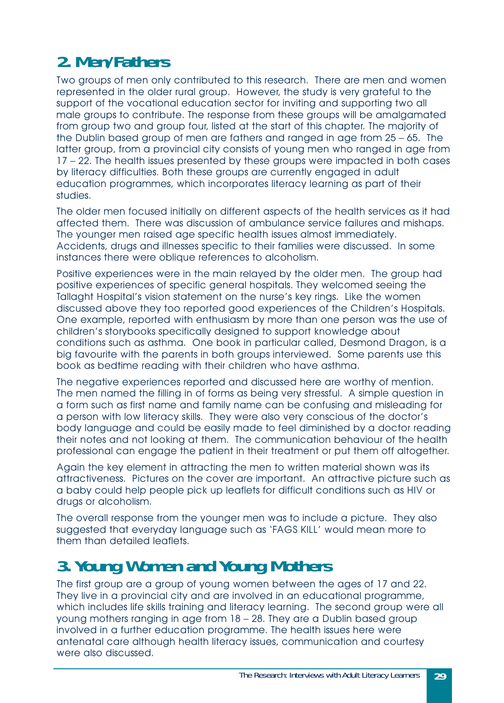# <span id="page-28-0"></span>**2. Men/Fathers**

Two groups of men only contributed to this research. There are men and women represented in the older rural group. However, the study is very grateful to the support of the vocational education sector for inviting and supporting two all male groups to contribute. The response from these groups will be amalgamated from group two and group four, listed at the start of this chapter. The majority of the Dublin based group of men are fathers and ranged in age from 25 – 65. The latter group, from a provincial city consists of young men who ranged in age from 17 – 22. The health issues presented by these groups were impacted in both cases by literacy difficulties. Both these groups are currently engaged in adult education programmes, which incorporates literacy learning as part of their studies.

The older men focused initially on different aspects of the health services as it had affected them. There was discussion of ambulance service failures and mishaps. The younger men raised age specific health issues almost immediately. Accidents, drugs and illnesses specific to their families were discussed. In some instances there were oblique references to alcoholism.

Positive experiences were in the main relayed by the older men. The group had positive experiences of specific general hospitals. They welcomed seeing the Tallaght Hospital's vision statement on the nurse's key rings. Like the women discussed above they too reported good experiences of the Children's Hospitals. One example, reported with enthusiasm by more than one person was the use of children's storybooks specifically designed to support knowledge about conditions such as asthma. One book in particular called, Desmond Dragon, is a big favourite with the parents in both groups interviewed. Some parents use this book as bedtime reading with their children who have asthma.

The negative experiences reported and discussed here are worthy of mention. The men named the filling in of forms as being very stressful. A simple question in a form such as first name and family name can be confusing and misleading for a person with low literacy skills. They were also very conscious of the doctor's body language and could be easily made to feel diminished by a doctor reading their notes and not looking at them. The communication behaviour of the health professional can engage the patient in their treatment or put them off altogether.

Again the key element in attracting the men to written material shown was its attractiveness. Pictures on the cover are important. An attractive picture such as a baby could help people pick up leaflets for difficult conditions such as HIV or drugs or alcoholism.

The overall response from the younger men was to include a picture. They also suggested that everyday language such as 'FAGS KILL' would mean more to them than detailed leaflets.

## **3. Young Women and Young Mothers**

The first group are a group of young women between the ages of 17 and 22. They live in a provincial city and are involved in an educational programme, which includes life skills training and literacy learning. The second group were all young mothers ranging in age from 18 – 28. They are a Dublin based group involved in a further education programme. The health issues here were antenatal care although health literacy issues, communication and courtesy were also discussed.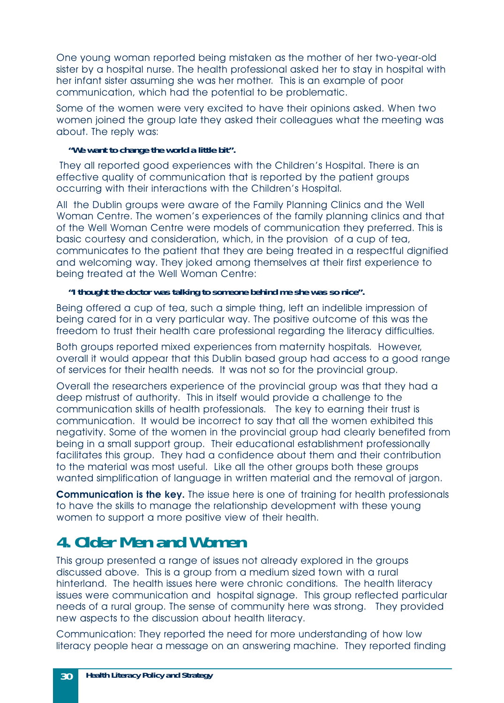<span id="page-29-0"></span>One young woman reported being mistaken as the mother of her two-year-old sister by a hospital nurse. The health professional asked her to stay in hospital with her infant sister assuming she was her mother. This is an example of poor communication, which had the potential to be problematic.

Some of the women were very excited to have their opinions asked. When two women joined the group late they asked their colleagues what the meeting was about. The reply was:

#### *"We want to change the world a little bit".*

They all reported good experiences with the Children's Hospital. There is an effective quality of communication that is reported by the patient groups occurring with their interactions with the Children's Hospital.

All the Dublin groups were aware of the Family Planning Clinics and the Well Woman Centre. The women's experiences of the family planning clinics and that of the Well Woman Centre were models of communication they preferred. This is basic courtesy and consideration, which, in the provision of a cup of tea, communicates to the patient that they are being treated in a respectful dignified and welcoming way. They joked among themselves at their first experience to being treated at the Well Woman Centre:

#### *"I thought the doctor was talking to someone behind me she was so nice".*

Being offered a cup of tea, such a simple thing, left an indelible impression of being cared for in a very particular way. The positive outcome of this was the freedom to trust their health care professional regarding the literacy difficulties.

Both groups reported mixed experiences from maternity hospitals. However, overall it would appear that this Dublin based group had access to a good range of services for their health needs. It was not so for the provincial group.

Overall the researchers experience of the provincial group was that they had a deep mistrust of authority. This in itself would provide a challenge to the communication skills of health professionals. The key to earning their trust is communication. It would be incorrect to say that all the women exhibited this negativity. Some of the women in the provincial group had clearly benefited from being in a small support group. Their educational establishment professionally facilitates this group. They had a confidence about them and their contribution to the material was most useful. Like all the other groups both these groups wanted simplification of language in written material and the removal of jargon.

**Communication is the key.** The issue here is one of training for health professionals to have the skills to manage the relationship development with these young women to support a more positive view of their health.

# **4. Older Men and Women**

This group presented a range of issues not already explored in the groups discussed above. This is a group from a medium sized town with a rural hinterland. The health issues here were chronic conditions. The health literacy issues were communication and hospital signage. This group reflected particular needs of a rural group. The sense of community here was strong. They provided new aspects to the discussion about health literacy.

Communication: They reported the need for more understanding of how low literacy people hear a message on an answering machine. They reported finding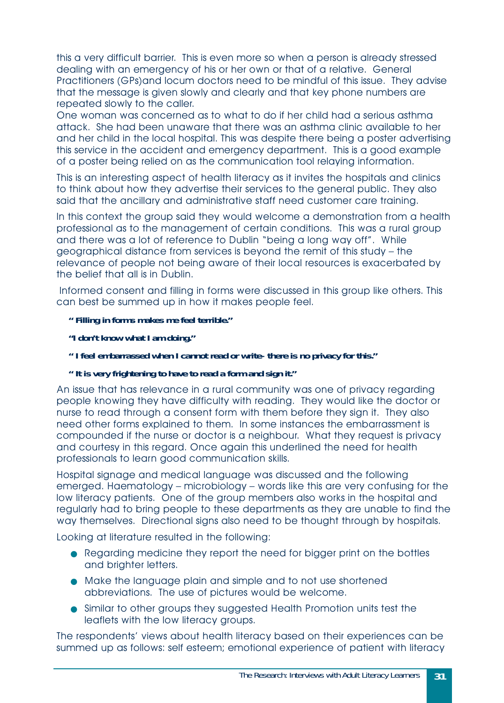this a very difficult barrier. This is even more so when a person is already stressed dealing with an emergency of his or her own or that of a relative. General Practitioners (GPs)and locum doctors need to be mindful of this issue. They advise that the message is given slowly and clearly and that key phone numbers are repeated slowly to the caller.

One woman was concerned as to what to do if her child had a serious asthma attack. She had been unaware that there was an asthma clinic available to her and her child in the local hospital. This was despite there being a poster advertising this service in the accident and emergency department. This is a good example of a poster being relied on as the communication tool relaying information.

This is an interesting aspect of health literacy as it invites the hospitals and clinics to think about how they advertise their services to the general public. They also said that the ancillary and administrative staff need customer care training.

In this context the group said they would welcome a demonstration from a health professional as to the management of certain conditions. This was a rural group and there was a lot of reference to Dublin "being a long way off". While geographical distance from services is beyond the remit of this study – the relevance of people not being aware of their local resources is exacerbated by the belief that all is in Dublin.

Informed consent and filling in forms were discussed in this group like others. This can best be summed up in how it makes people feel.

#### *" Filling in forms makes me feel terrible."*

*"I don't know what I am doing."*

*" I feel embarrassed when I cannot read or write- there is no privacy for this."*

#### *" It is very frightening to have to read a form and sign it."*

An issue that has relevance in a rural community was one of privacy regarding people knowing they have difficulty with reading. They would like the doctor or nurse to read through a consent form with them before they sign it. They also need other forms explained to them. In some instances the embarrassment is compounded if the nurse or doctor is a neighbour. What they request is privacy and courtesy in this regard. Once again this underlined the need for health professionals to learn good communication skills.

Hospital signage and medical language was discussed and the following emerged. Haematology – microbiology – words like this are very confusing for the low literacy patients. One of the group members also works in the hospital and regularly had to bring people to these departments as they are unable to find the way themselves. Directional signs also need to be thought through by hospitals.

Looking at literature resulted in the following:

- Regarding medicine they report the need for bigger print on the bottles and brighter letters.
- Make the language plain and simple and to not use shortened abbreviations. The use of pictures would be welcome.
- Similar to other groups they suggested Health Promotion units test the leaflets with the low literacy groups.

The respondents' views about health literacy based on their experiences can be summed up as follows: self esteem; emotional experience of patient with literacy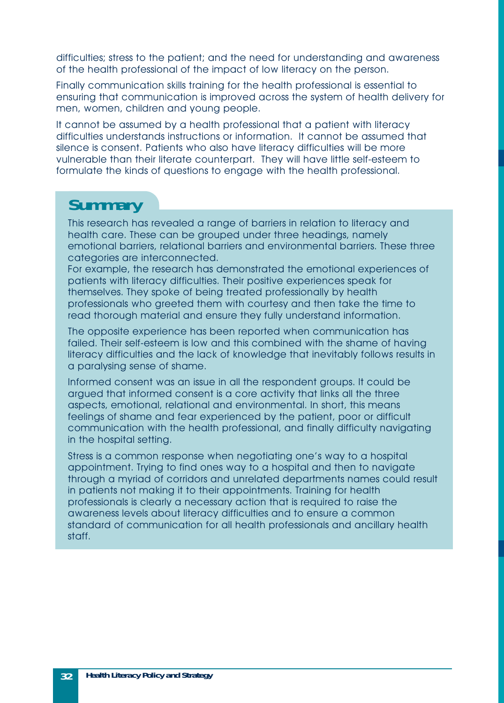difficulties; stress to the patient; and the need for understanding and awareness of the health professional of the impact of low literacy on the person.

Finally communication skills training for the health professional is essential to ensuring that communication is improved across the system of health delivery for men, women, children and young people.

It cannot be assumed by a health professional that a patient with literacy difficulties understands instructions or information. It cannot be assumed that silence is consent. Patients who also have literacy difficulties will be more vulnerable than their literate counterpart. They will have little self-esteem to formulate the kinds of questions to engage with the health professional.

### **Summary**

This research has revealed a range of barriers in relation to literacy and health care. These can be grouped under three headings, namely emotional barriers, relational barriers and environmental barriers. These three categories are interconnected.

For example, the research has demonstrated the emotional experiences of patients with literacy difficulties. Their positive experiences speak for themselves. They spoke of being treated professionally by health professionals who greeted them with courtesy and then take the time to read thorough material and ensure they fully understand information.

The opposite experience has been reported when communication has failed. Their self-esteem is low and this combined with the shame of having literacy difficulties and the lack of knowledge that inevitably follows results in a paralysing sense of shame.

Informed consent was an issue in all the respondent groups. It could be argued that informed consent is a core activity that links all the three aspects, emotional, relational and environmental. In short, this means feelings of shame and fear experienced by the patient, poor or difficult communication with the health professional, and finally difficulty navigating in the hospital setting.

Stress is a common response when negotiating one's way to a hospital appointment. Trying to find ones way to a hospital and then to navigate through a myriad of corridors and unrelated departments names could result in patients not making it to their appointments. Training for health professionals is clearly a necessary action that is required to raise the awareness levels about literacy difficulties and to ensure a common standard of communication for all health professionals and ancillary health staff.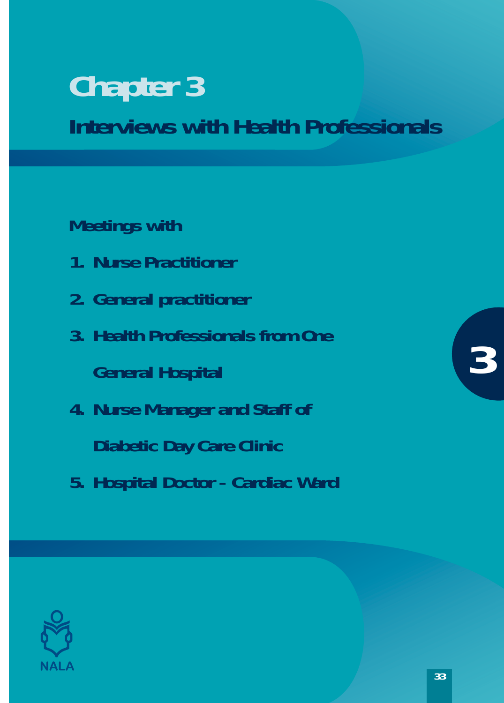# <span id="page-32-0"></span>**Chapter 3 Interviews with Health Professionals**

**Meetings with** 

- **1. Nurse Practitioner**
- **2. General practitioner**
- **3. Health Professionals from One General Hospital**
- **4. Nurse Manager and Staff of Diabetic Day Care Clinic**
- **5. Hospital Doctor Cardiac Ward**



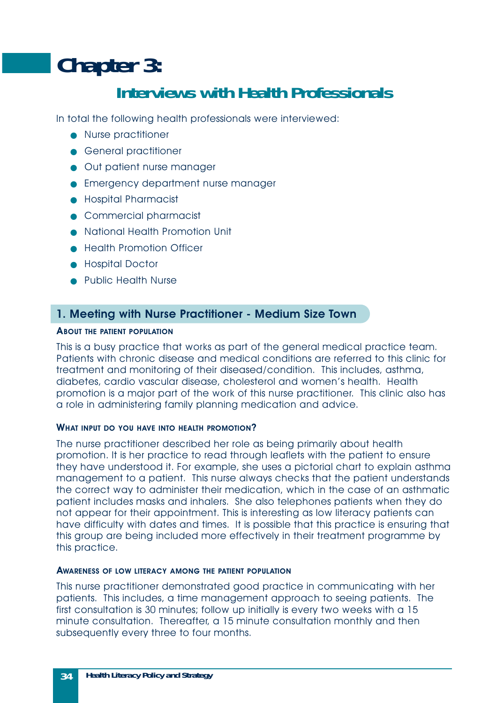# <span id="page-33-0"></span>**Chapter 3: Interviews with Health Professionals**

In total the following health professionals were interviewed:

- Nurse practitioner
- General practitioner
- Out patient nurse manager
- Emergency department nurse manager
- Hospital Pharmacist
- Commercial pharmacist
- National Health Promotion Unit
- Health Promotion Officer
- Hospital Doctor
- Public Health Nurse

#### **1. Meeting with Nurse Practitioner - Medium Size Town**

#### **ABOUT THE PATIENT POPULATION**

This is a busy practice that works as part of the general medical practice team. Patients with chronic disease and medical conditions are referred to this clinic for treatment and monitoring of their diseased/condition. This includes, asthma, diabetes, cardio vascular disease, cholesterol and women's health. Health promotion is a major part of the work of this nurse practitioner. This clinic also has a role in administering family planning medication and advice.

#### **WHAT INPUT DO YOU HAVE INTO HEALTH PROMOTION?**

The nurse practitioner described her role as being primarily about health promotion. It is her practice to read through leaflets with the patient to ensure they have understood it. For example, she uses a pictorial chart to explain asthma management to a patient. This nurse always checks that the patient understands the correct way to administer their medication, which in the case of an asthmatic patient includes masks and inhalers. She also telephones patients when they do not appear for their appointment. This is interesting as low literacy patients can have difficulty with dates and times. It is possible that this practice is ensuring that this group are being included more effectively in their treatment programme by this practice.

#### **AWARENESS OF LOW LITERACY AMONG THE PATIENT POPULATION**

This nurse practitioner demonstrated good practice in communicating with her patients. This includes, a time management approach to seeing patients. The first consultation is 30 minutes; follow up initially is every two weeks with a 15 minute consultation. Thereafter, a 15 minute consultation monthly and then subsequently every three to four months.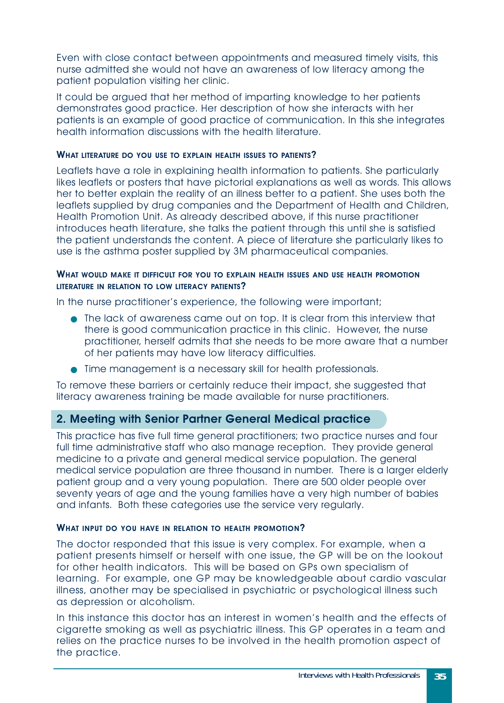<span id="page-34-0"></span>Even with close contact between appointments and measured timely visits, this nurse admitted she would not have an awareness of low literacy among the patient population visiting her clinic.

It could be argued that her method of imparting knowledge to her patients demonstrates good practice. Her description of how she interacts with her patients is an example of good practice of communication. In this she integrates health information discussions with the health literature.

#### **WHAT LITERATURE DO YOU USE TO EXPLAIN HEALTH ISSUES TO PATIENTS?**

Leaflets have a role in explaining health information to patients. She particularly likes leaflets or posters that have pictorial explanations as well as words. This allows her to better explain the reality of an illness better to a patient. She uses both the leaflets supplied by drug companies and the Department of Health and Children, Health Promotion Unit. As already described above, if this nurse practitioner introduces heath literature, she talks the patient through this until she is satisfied the patient understands the content. A piece of literature she particularly likes to use is the asthma poster supplied by 3M pharmaceutical companies.

#### WHAT WOULD MAKE IT DIFFICULT FOR YOU TO EXPLAIN HEALTH ISSUES AND USE HEALTH PROMOTION **LITERATURE IN RELATION TO LOW LITERACY PATIENTS?**

In the nurse practitioner's experience, the following were important;

- The lack of awareness came out on top. It is clear from this interview that there is good communication practice in this clinic. However, the nurse practitioner, herself admits that she needs to be more aware that a number of her patients may have low literacy difficulties.
- Time management is a necessary skill for health professionals.

To remove these barriers or certainly reduce their impact, she suggested that literacy awareness training be made available for nurse practitioners.

#### **2. Meeting with Senior Partner General Medical practice**

This practice has five full time general practitioners; two practice nurses and four full time administrative staff who also manage reception. They provide general medicine to a private and general medical service population. The general medical service population are three thousand in number. There is a larger elderly patient group and a very young population. There are 500 older people over seventy years of age and the young families have a very high number of babies and infants. Both these categories use the service very regularly.

#### **WHAT INPUT DO YOU HAVE IN RELATION TO HEALTH PROMOTION?**

The doctor responded that this issue is very complex. For example, when a patient presents himself or herself with one issue, the GP will be on the lookout for other health indicators. This will be based on GPs own specialism of learning. For example, one GP may be knowledgeable about cardio vascular illness, another may be specialised in psychiatric or psychological illness such as depression or alcoholism.

In this instance this doctor has an interest in women's health and the effects of cigarette smoking as well as psychiatric illness. This GP operates in a team and relies on the practice nurses to be involved in the health promotion aspect of the practice.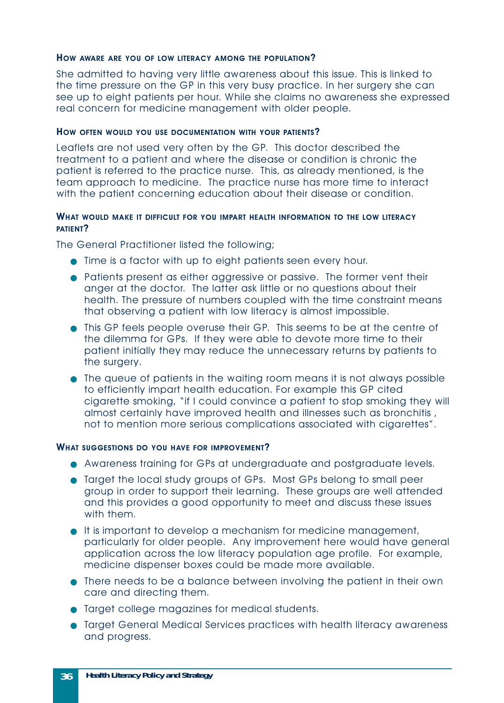#### **HOW AWARE ARE YOU OF LOW LITERACY AMONG THE POPULATION ?**

She admitted to having very little awareness about this issue. This is linked to the time pressure on the GP in this very busy practice. In her surgery she can see up to eight patients per hour. While she claims no awareness she expressed real concern for medicine management with older people.

#### **HOW OFTEN WOULD YOU USE DOCUMENTATION WITH YOUR PATIENTS ?**

Leaflets are not used very often by the GP. This doctor described the treatment to a patient and where the disease or condition is chronic the patient is referred to the practice nurse. This, as already mentioned, is the team approach to medicine. The practice nurse has more time to interact with the patient concerning education about their disease or condition.

#### WHAT WOULD MAKE IT DIFFICULT FOR YOU IMPART HEALTH INFORMATION TO THE LOW LITERACY **PATIENT ?**

The General Practitioner listed the following;

- Time is a factor with up to eight patients seen every hour.
- Patients present as either aggressive or passive. The former vent their anger at the doctor. The latter ask little or no questions about their health. The pressure of numbers coupled with the time constraint means that observing a patient with low literacy is almost impossible.
- This GP feels people overuse their GP. This seems to be at the centre of the dilemma for GPs. If they were able to devote more time to their patient initially they may reduce the unnecessary returns by patients to the surgery.
- The queue of patients in the waiting room means it is not always possible to efficiently impart health education. For example this GP cited cigarette smoking, "if I could convince a patient to stop smoking they will almost certainly have improved health and illnesses such as bronchitis , not to mention more serious complications associated with cigarettes".

#### **WHAT SUGGESTIONS DO YOU HAVE FOR IMPROVEMENT ?**

- Awareness training for GPs at undergraduate and postgraduate levels.
- Target the local study groups of GPs. Most GPs belong to small peer group in order to support their learning. These groups are well attended and this provides a good opportunity to meet and discuss these issues with them.
- It is important to develop a mechanism for medicine management, particularly for older people. Any improvement here would have general application across the low literacy population age profile. For example, medicine dispenser boxes could be made more available.
- There needs to be a balance between involving the patient in their own care and directing them.
- Target college magazines for medical students.
- Target General Medical Services practices with health literacy awareness and progress.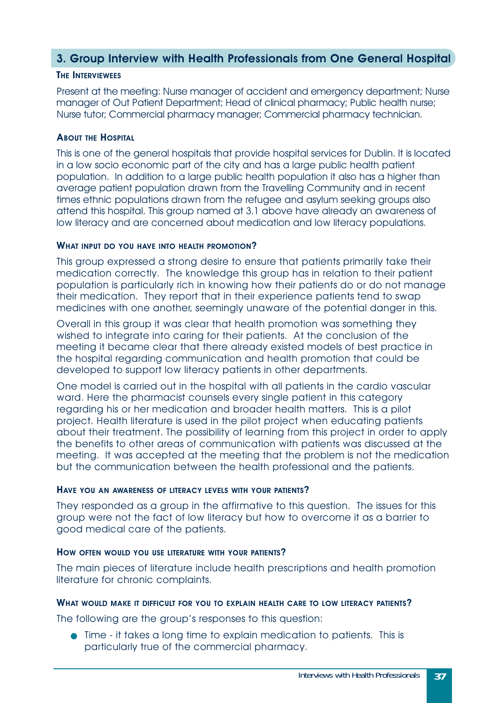#### <span id="page-36-0"></span>**3. Group Interview with Health Professionals from One General Hospital**

#### **THE INTERVIEWEES**

Present at the meeting: Nurse manager of accident and emergency department; Nurse manager of Out Patient Department; Head of clinical pharmacy; Public health nurse; Nurse tutor; Commercial pharmacy manager; Commercial pharmacy technician.

#### **ABOUT THE HOSPITAL**

This is one of the general hospitals that provide hospital services for Dublin. It is located in a low socio economic part of the city and has a large public health patient population. In addition to a large public health population it also has a higher than average patient population drawn from the Travelling Community and in recent times ethnic populations drawn from the refugee and asylum seeking groups also attend this hospital. This group named at 3.1 above have already an awareness of low literacy and are concerned about medication and low literacy populations.

#### **WHAT INPUT DO YOU HAVE INTO HEALTH PROMOTION?**

This group expressed a strong desire to ensure that patients primarily take their medication correctly. The knowledge this group has in relation to their patient population is particularly rich in knowing how their patients do or do not manage their medication. They report that in their experience patients tend to swap medicines with one another, seemingly unaware of the potential danger in this.

Overall in this group it was clear that health promotion was something they wished to integrate into caring for their patients. At the conclusion of the meeting it became clear that there already existed models of best practice in the hospital regarding communication and health promotion that could be developed to support low literacy patients in other departments.

One model is carried out in the hospital with all patients in the cardio vascular ward. Here the pharmacist counsels every single patient in this category regarding his or her medication and broader health matters. This is a pilot project. Health literature is used in the pilot project when educating patients about their treatment. The possibility of learning from this project in order to apply the benefits to other areas of communication with patients was discussed at the meeting. It was accepted at the meeting that the problem is not the medication but the communication between the health professional and the patients.

#### **HAVE YOU AN AWARENESS OF LITERACY LEVELS WITH YOUR PATIENTS?**

They responded as a group in the affirmative to this question. The issues for this group were not the fact of low literacy but how to overcome it as a barrier to good medical care of the patients.

#### **HOW OFTEN WOULD YOU USE LITERATURE WITH YOUR PATIENTS?**

The main pieces of literature include health prescriptions and health promotion literature for chronic complaints.

#### WHAT WOULD MAKE IT DIFFICULT FOR YOU TO EXPLAIN HEALTH CARE TO LOW LITERACY PATIENTS?

The following are the group's responses to this question:

● Time - it takes a long time to explain medication to patients. This is particularly true of the commercial pharmacy.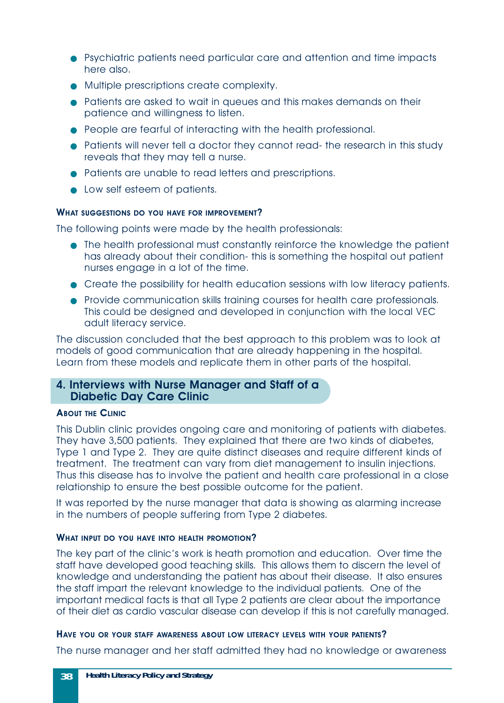- <span id="page-37-0"></span>● Psychiatric patients need particular care and attention and time impacts here also.
- Multiple prescriptions create complexity.
- Patients are asked to wait in queues and this makes demands on their patience and willingness to listen.
- People are fearful of interacting with the health professional.
- Patients will never tell a doctor they cannot read- the research in this study reveals that they may tell a nurse.
- Patients are unable to read letters and prescriptions.
- Low self esteem of patients.

#### **WHAT SUGGESTIONS DO YOU HAVE FOR IMPROVEMENT?**

The following points were made by the health professionals:

- The health professional must constantly reinforce the knowledge the patient has already about their condition- this is something the hospital out patient nurses engage in a lot of the time.
- Create the possibility for health education sessions with low literacy patients.
- Provide communication skills training courses for health care professionals. This could be designed and developed in conjunction with the local VEC adult literacy service.

The discussion concluded that the best approach to this problem was to look at models of good communication that are already happening in the hospital. Learn from these models and replicate them in other parts of the hospital.

#### **4. Interviews with Nurse Manager and Staff of a Diabetic Day Care Clinic**

#### **ABOUT THE CLINIC**

This Dublin clinic provides ongoing care and monitoring of patients with diabetes. They have 3,500 patients. They explained that there are two kinds of diabetes, Type 1 and Type 2. They are quite distinct diseases and require different kinds of treatment. The treatment can vary from diet management to insulin injections. Thus this disease has to involve the patient and health care professional in a close relationship to ensure the best possible outcome for the patient.

It was reported by the nurse manager that data is showing as alarming increase in the numbers of people suffering from Type 2 diabetes.

#### **WHAT INPUT DO YOU HAVE INTO HEALTH PROMOTION?**

The key part of the clinic's work is heath promotion and education. Over time the staff have developed good teaching skills. This allows them to discern the level of knowledge and understanding the patient has about their disease. It also ensures the staff impart the relevant knowledge to the individual patients. One of the important medical facts is that all Type 2 patients are clear about the importance of their diet as cardio vascular disease can develop if this is not carefully managed.

#### HAVE YOU OR YOUR STAFF AWARENESS ABOUT LOW LITERACY LEVELS WITH YOUR PATIENTS?

The nurse manager and her staff admitted they had no knowledge or awareness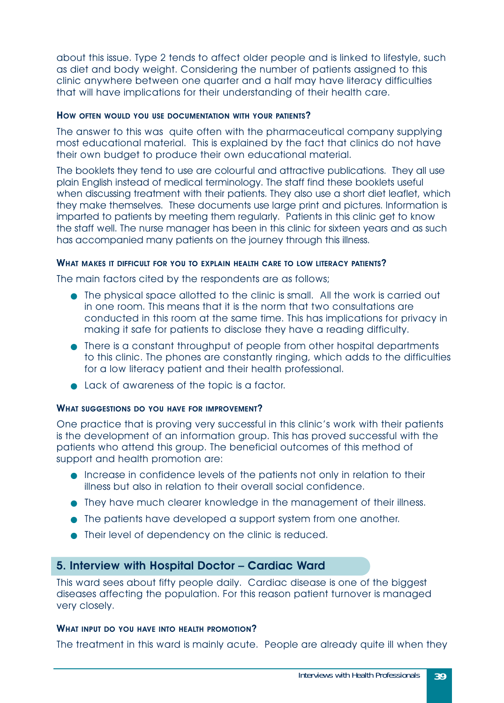<span id="page-38-0"></span>about this issue. Type 2 tends to affect older people and is linked to lifestyle, such as diet and body weight. Considering the number of patients assigned to this clinic anywhere between one quarter and a half may have literacy difficulties that will have implications for their understanding of their health care.

#### **HOW OFTEN WOULD YOU USE DOCUMENTATION WITH YOUR PATIENTS?**

The answer to this was quite often with the pharmaceutical company supplying most educational material. This is explained by the fact that clinics do not have their own budget to produce their own educational material.

The booklets they tend to use are colourful and attractive publications. They all use plain English instead of medical terminology. The staff find these booklets useful when discussing treatment with their patients. They also use a short diet leaflet, which they make themselves. These documents use large print and pictures. Information is imparted to patients by meeting them regularly. Patients in this clinic get to know the staff well. The nurse manager has been in this clinic for sixteen years and as such has accompanied many patients on the journey through this illness.

#### WHAT MAKES IT DIFFICULT FOR YOU TO EXPLAIN HEALTH CARE TO LOW LITERACY PATIENTS?

The main factors cited by the respondents are as follows;

- The physical space allotted to the clinic is small. All the work is carried out in one room. This means that it is the norm that two consultations are conducted in this room at the same time. This has implications for privacy in making it safe for patients to disclose they have a reading difficulty.
- There is a constant throughput of people from other hospital departments to this clinic. The phones are constantly ringing, which adds to the difficulties for a low literacy patient and their health professional.
- Lack of awareness of the topic is a factor.

#### **WHAT SUGGESTIONS DO YOU HAVE FOR IMPROVEMENT?**

One practice that is proving very successful in this clinic's work with their patients is the development of an information group. This has proved successful with the patients who attend this group. The beneficial outcomes of this method of support and health promotion are:

- Increase in confidence levels of the patients not only in relation to their illness but also in relation to their overall social confidence.
- They have much clearer knowledge in the management of their illness.
- The patients have developed a support system from one another.
- Their level of dependency on the clinic is reduced.

#### **5. Interview with Hospital Doctor – Cardiac Ward**

This ward sees about fifty people daily. Cardiac disease is one of the biggest diseases affecting the population. For this reason patient turnover is managed very closely.

#### **WHAT INPUT DO YOU HAVE INTO HEALTH PROMOTION?**

The treatment in this ward is mainly acute. People are already quite ill when they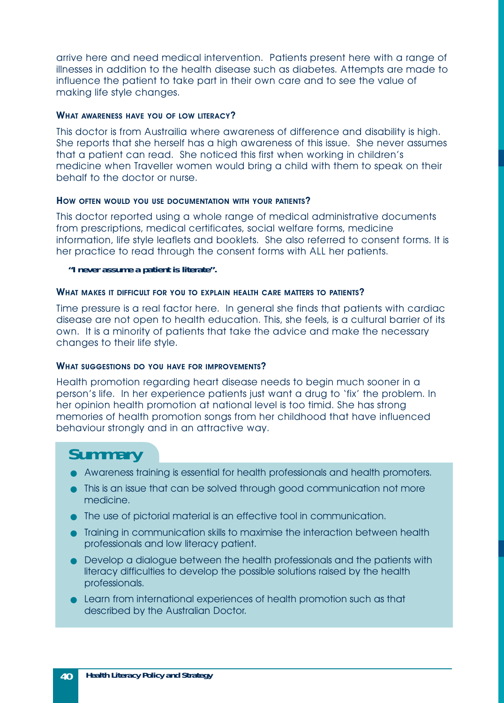arrive here and need medical intervention. Patients present here with a range of illnesses in addition to the health disease such as diabetes. Attempts are made to influence the patient to take part in their own care and to see the value of making life style changes.

#### **WHAT AWARENESS HAVE YOU OF LOW LITERACY?**

This doctor is from Austrailia where awareness of difference and disability is high. She reports that she herself has a high awareness of this issue. She never assumes that a patient can read. She noticed this first when working in children's medicine when Traveller women would bring a child with them to speak on their behalf to the doctor or nurse.

#### **HOW OFTEN WOULD YOU USE DOCUMENTATION WITH YOUR PATIENTS?**

This doctor reported using a whole range of medical administrative documents from prescriptions, medical certificates, social welfare forms, medicine information, life style leaflets and booklets. She also referred to consent forms. It is her practice to read through the consent forms with ALL her patients.

#### *"I never assume a patient is literate".*

#### WHAT MAKES IT DIFFICULT FOR YOU TO EXPLAIN HEALTH CARE MATTERS TO PATIENTS?

Time pressure is a real factor here. In general she finds that patients with cardiac disease are not open to health education. This, she feels, is a cultural barrier of its own. It is a minority of patients that take the advice and make the necessary changes to their life style.

#### **WHAT SUGGESTIONS DO YOU HAVE FOR IMPROVEMENTS?**

Health promotion regarding heart disease needs to begin much sooner in a person's life. In her experience patients just want a drug to 'fix' the problem. In her opinion health promotion at national level is too timid. She has strong memories of health promotion songs from her childhood that have influenced behaviour strongly and in an attractive way.

### **Summary**

- Awareness training is essential for health professionals and health promoters.
- This is an issue that can be solved through good communication not more medicine.
- The use of pictorial material is an effective tool in communication.
- Training in communication skills to maximise the interaction between health professionals and low literacy patient.
- Develop a dialogue between the health professionals and the patients with literacy difficulties to develop the possible solutions raised by the health professionals.
- Learn from international experiences of health promotion such as that described by the Australian Doctor.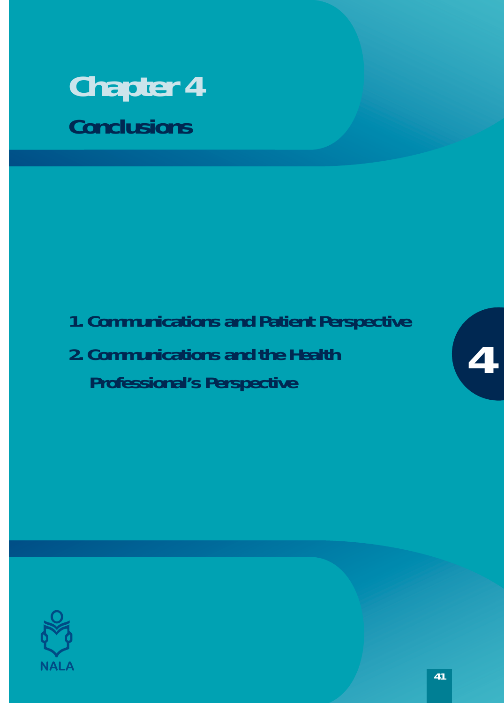# <span id="page-40-0"></span>**Chapter 4 Conclusions**

- **1. Communications and Patient Perspective**
- **2. Communications and the Health Professional's Perspective**



**4**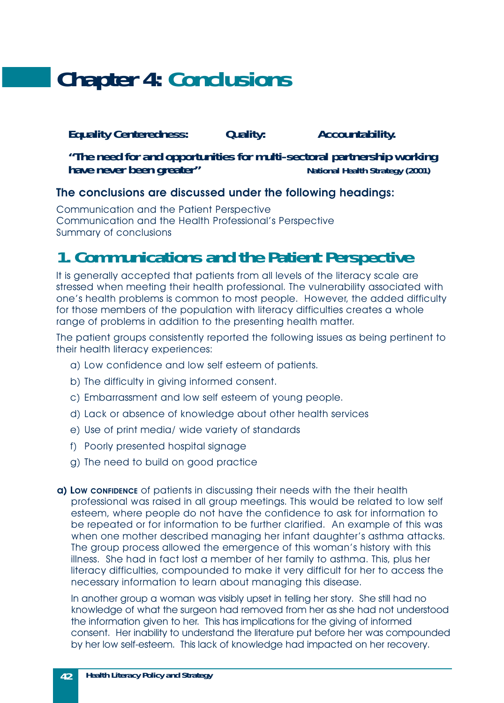# <span id="page-41-0"></span>**Chapter 4: Conclusions**

#### *Equality Centeredness: Quality: Accountability.*

*"The need for and opportunities for multi-sectoral partnership working have never been greater" National Health Strategy (2001)*

#### **The conclusions are discussed under the following headings:**

Communication and the Patient Perspective Communication and the Health Professional's Perspective Summary of conclusions

### **1. Communications and the Patient Perspective**

It is generally accepted that patients from all levels of the literacy scale are stressed when meeting their health professional. The vulnerability associated with one's health problems is common to most people. However, the added difficulty for those members of the population with literacy difficulties creates a whole range of problems in addition to the presenting health matter.

The patient groups consistently reported the following issues as being pertinent to their health literacy experiences:

- a) Low confidence and low self esteem of patients.
- b) The difficulty in giving informed consent.
- c) Embarrassment and low self esteem of young people.
- d) Lack or absence of knowledge about other health services
- e) Use of print media/ wide variety of standards
- f) Poorly presented hospital signage
- g) The need to build on good practice
- **a) LOW CONFIDENCE** of patients in discussing their needs with the their health professional was raised in all group meetings. This would be related to low self esteem, where people do not have the confidence to ask for information to be repeated or for information to be further clarified. An example of this was when one mother described managing her infant daughter's asthma attacks. The group process allowed the emergence of this woman's history with this illness. She had in fact lost a member of her family to asthma. This, plus her literacy difficulties, compounded to make it very difficult for her to access the necessary information to learn about managing this disease.

In another group a woman was visibly upset in telling her story. She still had no knowledge of what the surgeon had removed from her as she had not understood the information given to her. This has implications for the giving of informed consent. Her inability to understand the literature put before her was compounded by her low self-esteem. This lack of knowledge had impacted on her recovery.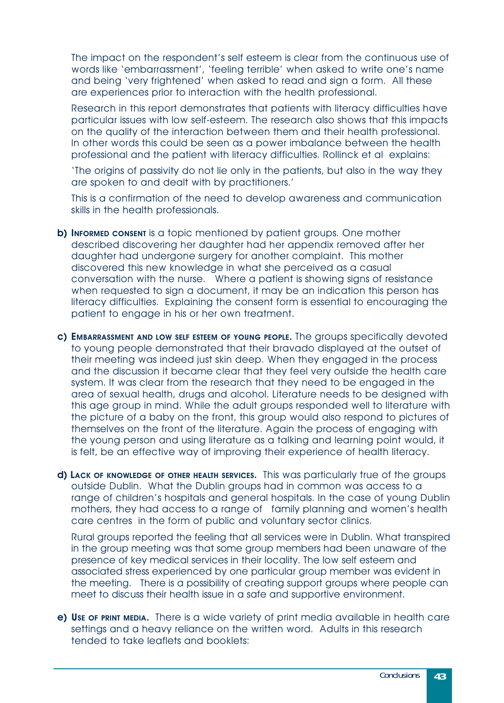The impact on the respondent's self esteem is clear from the continuous use of words like 'embarrassment', 'feeling terrible' when asked to write one's name and being 'very frightened' when asked to read and sign a form. All these are experiences prior to interaction with the health professional.

Research in this report demonstrates that patients with literacy difficulties have particular issues with low self-esteem. The research also shows that this impacts on the quality of the interaction between them and their health professional. In other words this could be seen as a power imbalance between the health professional and the patient with literacy difficulties. Rollinck et al explains:

'The origins of passivity do not lie only in the patients, but also in the way they are spoken to and dealt with by practitioners.'

This is a confirmation of the need to develop awareness and communication skills in the health professionals.

- **b) INFORMED CONSENT** is a topic mentioned by patient groups. One mother described discovering her daughter had her appendix removed after her daughter had undergone surgery for another complaint. This mother discovered this new knowledge in what she perceived as a casual conversation with the nurse. Where a patient is showing signs of resistance when requested to sign a document, it may be an indication this person has literacy difficulties. Explaining the consent form is essential to encouraging the patient to engage in his or her own treatment.
- **c) EMBARRASSMENT AND LOW SELF ESTEEM OF YOUNG PEOPLE.** The groups specifically devoted to young people demonstrated that their bravado displayed at the outset of their meeting was indeed just skin deep. When they engaged in the process and the discussion it became clear that they feel very outside the health care system. It was clear from the research that they need to be engaged in the area of sexual health, drugs and alcohol. Literature needs to be designed with this age group in mind. While the adult groups responded well to literature with the picture of a baby on the front, this group would also respond to pictures of themselves on the front of the literature. Again the process of engaging with the young person and using literature as a talking and learning point would, it is felt, be an effective way of improving their experience of health literacy.
- **d) LACK OF KNOWLEDGE OF OTHER HEALTH SERVICES.** This was particularly true of the groups outside Dublin. What the Dublin groups had in common was access to a range of children's hospitals and general hospitals. In the case of young Dublin mothers, they had access to a range of family planning and women's health care centres in the form of public and voluntary sector clinics.

Rural groups reported the feeling that all services were in Dublin. What transpired in the group meeting was that some group members had been unaware of the presence of key medical services in their locality. The low self esteem and associated stress experienced by one particular group member was evident in the meeting. There is a possibility of creating support groups where people can meet to discuss their health issue in a safe and supportive environment.

**e) USE OF PRINT MEDIA.** There is a wide variety of print media available in health care settings and a heavy reliance on the written word. Adults in this research tended to take leaflets and booklets: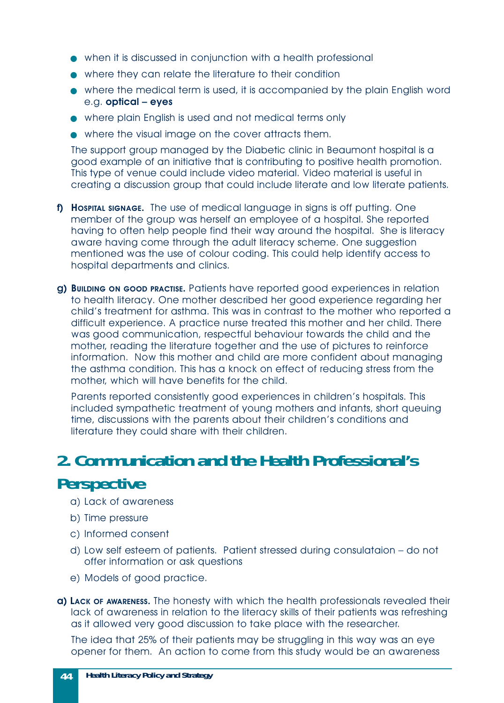- <span id="page-43-0"></span>● when it is discussed in conjunction with a health professional
- where they can relate the literature to their condition
- where the medical term is used, it is accompanied by the plain English word e.g. **optical – eyes**
- where plain English is used and not medical terms only
- where the visual image on the cover attracts them.

The support group managed by the Diabetic clinic in Beaumont hospital is a good example of an initiative that is contributing to positive health promotion. This type of venue could include video material. Video material is useful in creating a discussion group that could include literate and low literate patients.

- **f) Hospital signage.** The use of medical language in signs is off putting. One member of the group was herself an employee of a hospital. She reported having to often help people find their way around the hospital. She is literacy aware having come through the adult literacy scheme. One suggestion mentioned was the use of colour coding. This could help identify access to hospital departments and clinics.
- **g) BUILDING ON GOOD PRACTISE.** Patients have reported good experiences in relation to health literacy. One mother described her good experience regarding her child's treatment for asthma. This was in contrast to the mother who reported a difficult experience. A practice nurse treated this mother and her child. There was good communication, respectful behaviour towards the child and the mother, reading the literature together and the use of pictures to reinforce information. Now this mother and child are more confident about managing the asthma condition. This has a knock on effect of reducing stress from the mother, which will have benefits for the child.

Parents reported consistently good experiences in children's hospitals. This included sympathetic treatment of young mothers and infants, short queuing time, discussions with the parents about their children's conditions and literature they could share with their children.

## **2. Communication and the Health Professional's Perspective**

- a) Lack of awareness
- b) Time pressure
- c) Informed consent
- d) Low self esteem of patients. Patient stressed during consulataion do not offer information or ask questions
- e) Models of good practice.
- **a) LACK OF AWARENESS.** The honesty with which the health professionals revealed their lack of awareness in relation to the literacy skills of their patients was refreshing as it allowed very good discussion to take place with the researcher.

The idea that 25% of their patients may be struggling in this way was an eye opener for them. An action to come from this study would be an awareness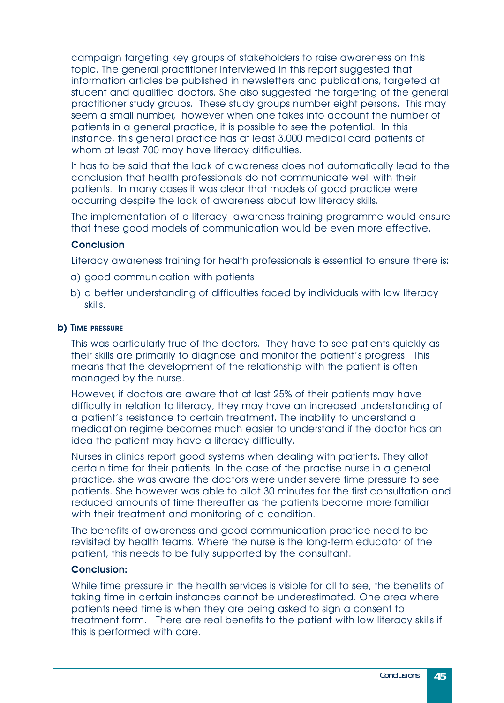campaign targeting key groups of stakeholders to raise awareness on this topic. The general practitioner interviewed in this report suggested that information articles be published in newsletters and publications, targeted at student and qualified doctors. She also suggested the targeting of the general practitioner study groups. These study groups number eight persons. This may seem a small number, however when one takes into account the number of patients in a general practice, it is possible to see the potential. In this instance, this general practice has at least 3,000 medical card patients of whom at least 700 may have literacy difficulties.

It has to be said that the lack of awareness does not automatically lead to the conclusion that health professionals do not communicate well with their patients. In many cases it was clear that models of good practice were occurring despite the lack of awareness about low literacy skills.

The implementation of a literacy awareness training programme would ensure that these good models of communication would be even more effective.

#### **Conclusion**

Literacy awareness training for health professionals is essential to ensure there is:

- a) good communication with patients
- b) a better understanding of difficulties faced by individuals with low literacy skills.

#### **b) TIME PRESSURE**

This was particularly true of the doctors. They have to see patients quickly as their skills are primarily to diagnose and monitor the patient's progress. This means that the development of the relationship with the patient is often managed by the nurse.

However, if doctors are aware that at last 25% of their patients may have difficulty in relation to literacy, they may have an increased understanding of a patient's resistance to certain treatment. The inability to understand a medication regime becomes much easier to understand if the doctor has an idea the patient may have a literacy difficulty.

Nurses in clinics report good systems when dealing with patients. They allot certain time for their patients. In the case of the practise nurse in a general practice, she was aware the doctors were under severe time pressure to see patients. She however was able to allot 30 minutes for the first consultation and reduced amounts of time thereafter as the patients become more familiar with their treatment and monitoring of a condition.

The benefits of awareness and good communication practice need to be revisited by health teams. Where the nurse is the long-term educator of the patient, this needs to be fully supported by the consultant.

#### **Conclusion:**

While time pressure in the health services is visible for all to see, the benefits of taking time in certain instances cannot be underestimated. One area where patients need time is when they are being asked to sign a consent to treatment form. There are real benefits to the patient with low literacy skills if this is performed with care.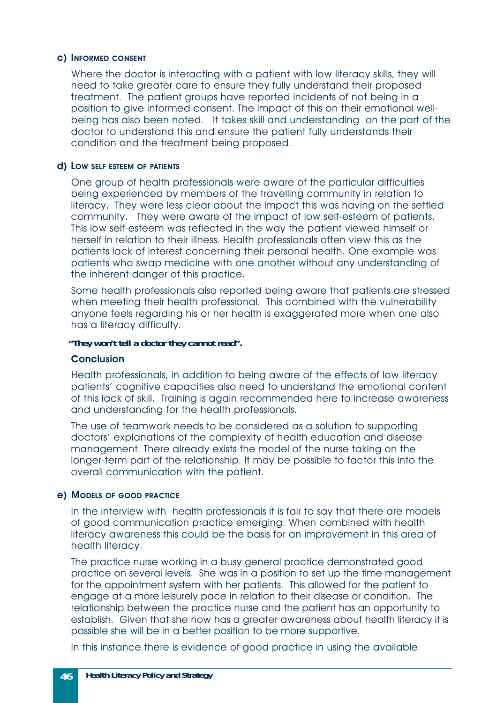#### **c) INFORMED CONSENT**

Where the doctor is interacting with a patient with low literacy skills, they will need to take greater care to ensure they fully understand their proposed treatment. The patient groups have reported incidents of not being in a position to give informed consent. The impact of this on their emotional wellbeing has also been noted. It takes skill and understanding on the part of the doctor to understand this and ensure the patient fully understands their condition and the treatment being proposed.

#### **d) LOW SELF ESTEEM OF PATIENTS**

One group of health professionals were aware of the particular difficulties being experienced by members of the travelling community in relation to literacy. They were less clear about the impact this was having on the settled community. They were aware of the impact of low self-esteem of patients. This low self-esteem was reflected in the way the patient viewed himself or herself in relation to their illness. Health professionals often view this as the patients lack of interest concerning their personal health. One example was patients who swap medicine with one another without any understanding of the inherent danger of this practice.

Some health professionals also reported being aware that patients are stressed when meeting their health professional. This combined with the vulnerability anyone feels regarding his or her health is exaggerated more when one also has a literacy difficulty.

#### *"They won't tell a doctor they cannot read".*

#### **Conclusion**

Health professionals, in addition to being aware of the effects of low literacy patients' cognitive capacities also need to understand the emotional content of this lack of skill. Training is again recommended here to increase awareness and understanding for the health professionals.

The use of teamwork needs to be considered as a solution to supporting doctors' explanations of the complexity of health education and disease management. There already exists the model of the nurse taking on the longer-term part of the relationship. It may be possible to factor this into the overall communication with the patient.

#### **e) MODELS OF GOOD PRACTICE**

In the interview with health professionals it is fair to say that there are models of good communication practice emerging. When combined with health literacy awareness this could be the basis for an improvement in this area of health literacy.

The practice nurse working in a busy general practice demonstrated good practice on several levels. She was in a position to set up the time management for the appointment system with her patients. This allowed for the patient to engage at a more leisurely pace in relation to their disease or condition. The relationship between the practice nurse and the patient has an opportunity to establish. Given that she now has a greater awareness about health literacy it is possible she will be in a better position to be more supportive.

In this instance there is evidence of good practice in using the available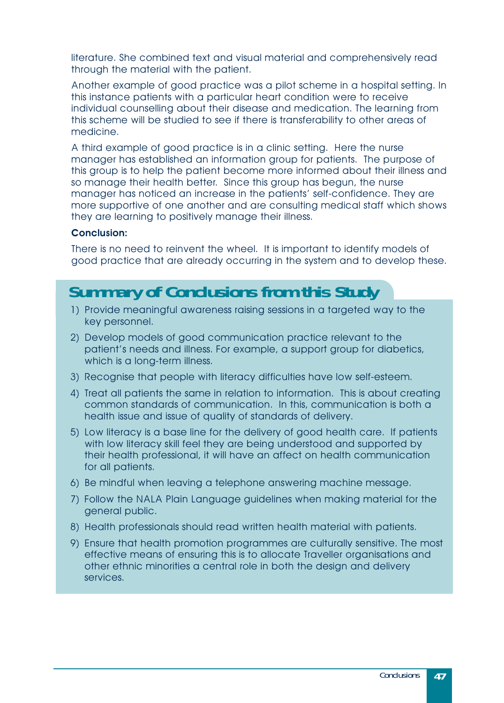literature. She combined text and visual material and comprehensively read through the material with the patient.

Another example of good practice was a pilot scheme in a hospital setting. In this instance patients with a particular heart condition were to receive individual counselling about their disease and medication. The learning from this scheme will be studied to see if there is transferability to other areas of medicine.

A third example of good practice is in a clinic setting. Here the nurse manager has established an information group for patients. The purpose of this group is to help the patient become more informed about their illness and so manage their health better. Since this group has begun, the nurse manager has noticed an increase in the patients' self-confidence. They are more supportive of one another and are consulting medical staff which shows they are learning to positively manage their illness.

#### **Conclusion:**

There is no need to reinvent the wheel. It is important to identify models of good practice that are already occurring in the system and to develop these.

### **Summary of Conclusions from this Study**

- 1) Provide meaningful awareness raising sessions in a targeted way to the key personnel.
- 2) Develop models of good communication practice relevant to the patient's needs and illness. For example, a support group for diabetics, which is a long-term illness.
- 3) Recognise that people with literacy difficulties have low self-esteem.
- 4) Treat all patients the same in relation to information. This is about creating common standards of communication. In this, communication is both a health issue and issue of quality of standards of delivery.
- 5) Low literacy is a base line for the delivery of good health care. If patients with low literacy skill feel they are being understood and supported by their health professional, it will have an affect on health communication for all patients.
- 6) Be mindful when leaving a telephone answering machine message.
- 7) Follow the NALA Plain Language guidelines when making material for the general public.
- 8) Health professionals should read written health material with patients.
- 9) Ensure that health promotion programmes are culturally sensitive. The most effective means of ensuring this is to allocate Traveller organisations and other ethnic minorities a central role in both the design and delivery services.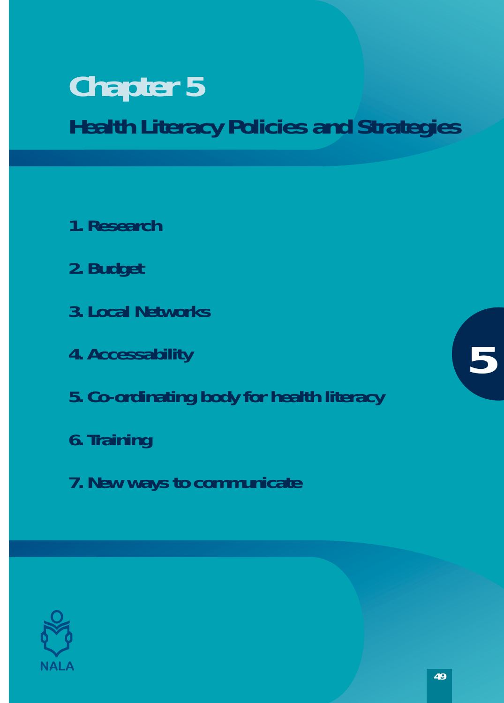# <span id="page-48-0"></span>**Chapter 5 Health Literacy Policies and Strategies**

- **1. Research**
- **2. Budget**
- **3. Local Networks**
- **4. Accessability**
- **5. Co-ordinating body for health literacy**
- **6. Training**
- **7. New ways to communicate**



**5**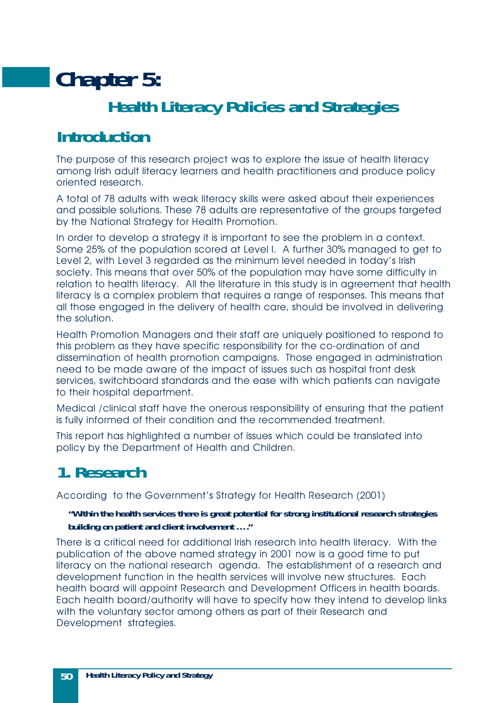# <span id="page-49-0"></span>**Chapter 5: Health Literacy Policies and Strategies**

### **Introduction**

The purpose of this research project was to explore the issue of health literacy among Irish adult literacy learners and health practitioners and produce policy oriented research.

A total of 78 adults with weak literacy skills were asked about their experiences and possible solutions. These 78 adults are representative of the groups targeted by the National Strategy for Health Promotion.

In order to develop a strategy it is important to see the problem in a context. Some 25% of the population scored at Level I. A further 30% managed to get to Level 2, with Level 3 regarded as the minimum level needed in today's Irish society. This means that over 50% of the population may have some difficulty in relation to health literacy. All the literature in this study is in agreement that health literacy is a complex problem that requires a range of responses. This means that all those engaged in the delivery of health care, should be involved in delivering the solution.

Health Promotion Managers and their staff are uniquely positioned to respond to this problem as they have specific responsibility for the co-ordination of and dissemination of health promotion campaigns. Those engaged in administration need to be made aware of the impact of issues such as hospital front desk services, switchboard standards and the ease with which patients can navigate to their hospital department.

Medical /clinical staff have the onerous responsibility of ensuring that the patient is fully informed of their condition and the recommended treatment.

This report has highlighted a number of issues which could be translated into policy by the Department of Health and Children.

# **1. Research**

According to the Government's Strategy for Health Research (2001)

#### *"Within the health services there is great potential for strong institutional research strategies building on patient and client involvement …."*

There is a critical need for additional Irish research into health literacy. With the publication of the above named strategy in 2001 now is a good time to put literacy on the national research agenda. The establishment of a research and development function in the health services will involve new structures. Each health board will appoint Research and Development Officers in health boards. Each health board/authority will have to specify how they intend to develop links with the voluntary sector among others as part of their Research and Development strategies.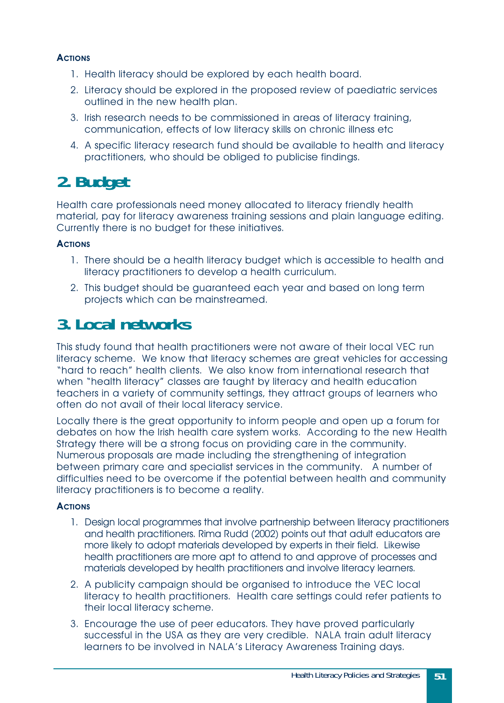#### <span id="page-50-0"></span>**ACTIONS**

- 1. Health literacy should be explored by each health board.
- 2. Literacy should be explored in the proposed review of paediatric services outlined in the new health plan.
- 3. Irish research needs to be commissioned in areas of literacy training, communication, effects of low literacy skills on chronic illness etc
- 4. A specific literacy research fund should be available to health and literacy practitioners, who should be obliged to publicise findings.

## **2. Budget**

Health care professionals need money allocated to literacy friendly health material, pay for literacy awareness training sessions and plain language editing. Currently there is no budget for these initiatives.

#### **ACTIONS**

- 1. There should be a health literacy budget which is accessible to health and literacy practitioners to develop a health curriculum.
- 2. This budget should be guaranteed each year and based on long term projects which can be mainstreamed.

## **3. Local networks**

This study found that health practitioners were not aware of their local VEC run literacy scheme. We know that literacy schemes are great vehicles for accessing "hard to reach" health clients. We also know from international research that when "health literacy" classes are taught by literacy and health education teachers in a variety of community settings, they attract groups of learners who often do not avail of their local literacy service.

Locally there is the great opportunity to inform people and open up a forum for debates on how the Irish health care system works. According to the new Health Strategy there will be a strong focus on providing care in the community. Numerous proposals are made including the strengthening of integration between primary care and specialist services in the community. A number of difficulties need to be overcome if the potential between health and community literacy practitioners is to become a reality.

#### **ACTIONS**

- 1. Design local programmes that involve partnership between literacy practitioners and health practitioners. Rima Rudd (2002) points out that adult educators are more likely to adopt materials developed by experts in their field. Likewise health practitioners are more apt to attend to and approve of processes and materials developed by health practitioners and involve literacy learners.
- 2. A publicity campaign should be organised to introduce the VEC local literacy to health practitioners. Health care settings could refer patients to their local literacy scheme.
- 3. Encourage the use of peer educators. They have proved particularly successful in the USA as they are very credible. NALA train adult literacy learners to be involved in NALA's Literacy Awareness Training days.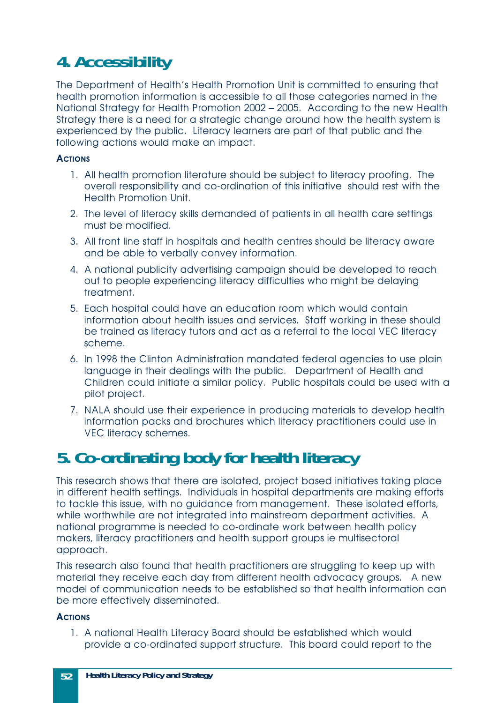# <span id="page-51-0"></span>**4. Accessibility**

The Department of Health's Health Promotion Unit is committed to ensuring that health promotion information is accessible to all those categories named in the National Strategy for Health Promotion 2002 – 2005. According to the new Health Strategy there is a need for a strategic change around how the health system is experienced by the public. Literacy learners are part of that public and the following actions would make an impact.

#### **ACTIONS**

- 1. All health promotion literature should be subject to literacy proofing. The overall responsibility and co-ordination of this initiative should rest with the Health Promotion Unit.
- 2. The level of literacy skills demanded of patients in all health care settings must be modified.
- 3. All front line staff in hospitals and health centres should be literacy aware and be able to verbally convey information.
- 4. A national publicity advertising campaign should be developed to reach out to people experiencing literacy difficulties who might be delaying treatment.
- 5. Each hospital could have an education room which would contain information about health issues and services. Staff working in these should be trained as literacy tutors and act as a referral to the local VEC literacy scheme.
- 6. In 1998 the Clinton Administration mandated federal agencies to use plain language in their dealings with the public. Department of Health and Children could initiate a similar policy. Public hospitals could be used with a pilot project.
- 7. NALA should use their experience in producing materials to develop health information packs and brochures which literacy practitioners could use in VEC literacy schemes.

## **5. Co-ordinating body for health literacy**

This research shows that there are isolated, project based initiatives taking place in different health settings. Individuals in hospital departments are making efforts to tackle this issue, with no guidance from management. These isolated efforts, while worthwhile are not integrated into mainstream department activities. A national programme is needed to co-ordinate work between health policy makers, literacy practitioners and health support groups ie multisectoral approach.

This research also found that health practitioners are struggling to keep up with material they receive each day from different health advocacy groups. A new model of communication needs to be established so that health information can be more effectively disseminated.

#### **ACTIONS**

1. A national Health Literacy Board should be established which would provide a co-ordinated support structure. This board could report to the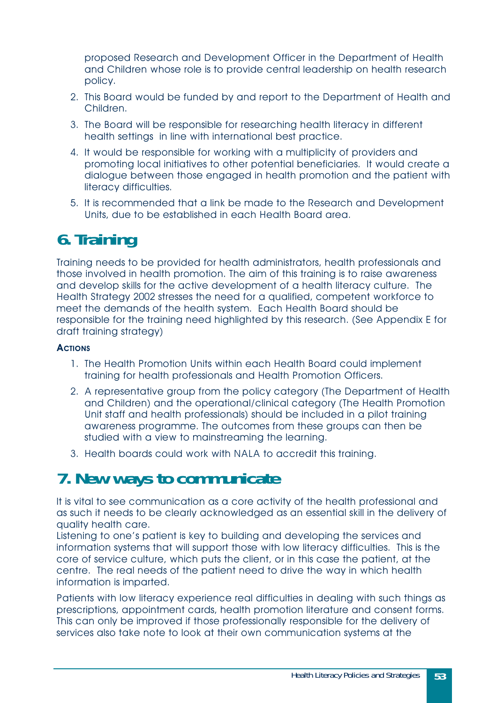<span id="page-52-0"></span>proposed Research and Development Officer in the Department of Health and Children whose role is to provide central leadership on health research policy.

- 2. This Board would be funded by and report to the Department of Health and Children.
- 3. The Board will be responsible for researching health literacy in different health settings in line with international best practice.
- 4. It would be responsible for working with a multiplicity of providers and promoting local initiatives to other potential beneficiaries. It would create a dialogue between those engaged in health promotion and the patient with literacy difficulties.
- 5. It is recommended that a link be made to the Research and Development Units, due to be established in each Health Board area.

## **6. Training**

Training needs to be provided for health administrators, health professionals and those involved in health promotion. The aim of this training is to raise awareness and develop skills for the active development of a health literacy culture. The Health Strategy 2002 stresses the need for a qualified, competent workforce to meet the demands of the health system. Each Health Board should be responsible for the training need highlighted by this research. (See Appendix E for draft training strategy)

#### **ACTIONS**

- 1. The Health Promotion Units within each Health Board could implement training for health professionals and Health Promotion Officers.
- 2. A representative group from the policy category (The Department of Health and Children) and the operational/clinical category (The Health Promotion Unit staff and health professionals) should be included in a pilot training awareness programme. The outcomes from these groups can then be studied with a view to mainstreaming the learning.
- 3. Health boards could work with NALA to accredit this training.

## **7. New ways to communicate**

It is vital to see communication as a core activity of the health professional and as such it needs to be clearly acknowledged as an essential skill in the delivery of quality health care.

Listening to one's patient is key to building and developing the services and information systems that will support those with low literacy difficulties. This is the core of service culture, which puts the client, or in this case the patient, at the centre. The real needs of the patient need to drive the way in which health information is imparted.

Patients with low literacy experience real difficulties in dealing with such things as prescriptions, appointment cards, health promotion literature and consent forms. This can only be improved if those professionally responsible for the delivery of services also take note to look at their own communication systems at the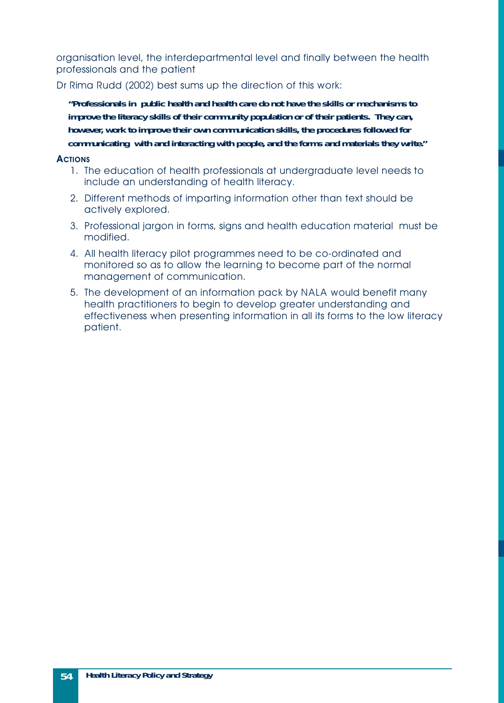organisation level, the interdepartmental level and finally between the health professionals and the patient

Dr Rima Rudd (2002) best sums up the direction of this work:

*"Professionals in public health and health care do not have the skills or mechanisms to improve the literacy skills of their community population or of their patients. They can, however, work to improve their own communication skills, the procedures followed for communicating with and interacting with people, and the forms and materials they write."*

#### **ACTIONS**

- 1. The education of health professionals at undergraduate level needs to include an understanding of health literacy.
- 2. Different methods of imparting information other than text should be actively explored.
- 3. Professional jargon in forms, signs and health education material must be modified.
- 4. All health literacy pilot programmes need to be co-ordinated and monitored so as to allow the learning to become part of the normal management of communication.
- 5. The development of an information pack by NALA would benefit many health practitioners to begin to develop greater understanding and effectiveness when presenting information in all its forms to the low literacy patient.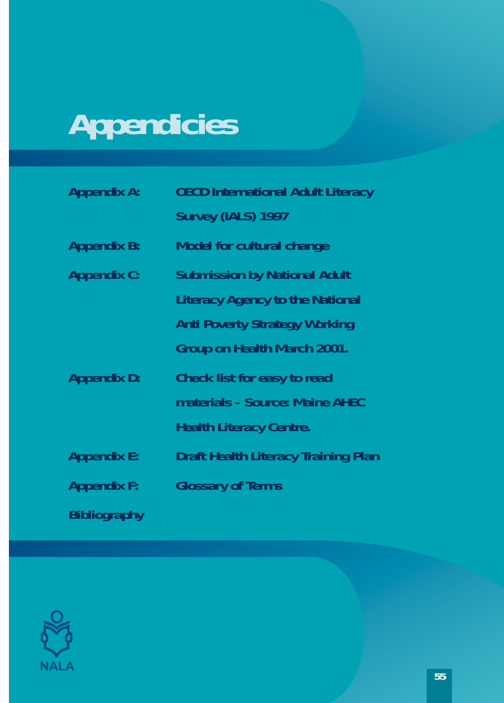# <span id="page-54-0"></span>**Appendicies**

| <b>Appendix A:</b>  | <b>OECD International Adult Literacy</b>   |
|---------------------|--------------------------------------------|
|                     | Survey (IALS) 1997                         |
| <b>Appendix B:</b>  | <b>Model for cultural change</b>           |
| <b>Appendix C:</b>  | <b>Submission by National Adult</b>        |
|                     | <b>Literacy Agency to the National</b>     |
|                     | <b>Anti Poverty Strategy Working</b>       |
|                     | Group on Health March 2001.                |
| <b>Appendix D:</b>  | <b>Check list for easy to read</b>         |
|                     | materials - Source: Maine AHEC             |
|                     | <b>Health Literacy Centre.</b>             |
| <b>Appendix E:</b>  | <b>Draft Health Literacy Training Plan</b> |
| <b>Appendix F:</b>  | <b>Glossary of Terms</b>                   |
| <b>Bibliography</b> |                                            |

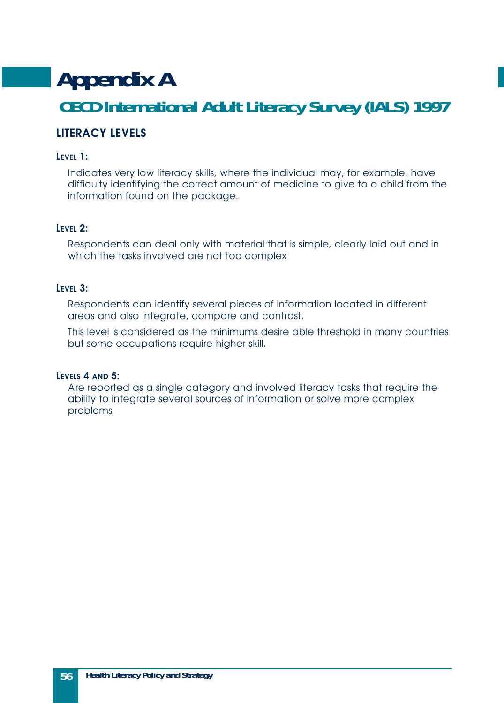# <span id="page-55-0"></span>**Appendix A OECD International Adult Literacy Survey (IALS) 1997**

#### **LITERACY LEVELS**

#### **LEVEL 1:**

Indicates very low literacy skills, where the individual may, for example, have difficulty identifying the correct amount of medicine to give to a child from the information found on the package.

#### **LEVEL 2:**

Respondents can deal only with material that is simple, clearly laid out and in which the tasks involved are not too complex

#### **LEVEL 3:**

Respondents can identify several pieces of information located in different areas and also integrate, compare and contrast.

This level is considered as the minimums desire able threshold in many countries but some occupations require higher skill.

#### **LEVELS 4 AND 5:**

Are reported as a single category and involved literacy tasks that require the ability to integrate several sources of information or solve more complex problems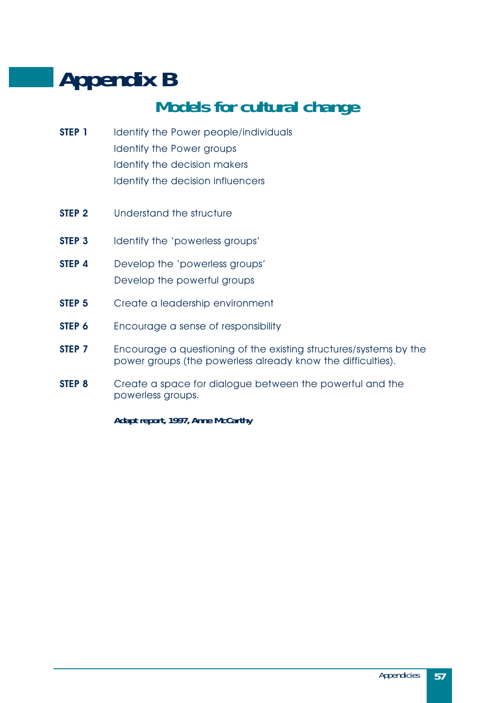# <span id="page-56-0"></span>**Appendix B**

# **Models for cultural change**

- **STEP 1** Identify the Power people/individuals Identify the Power groups Identify the decision makers Identify the decision influencers
- **STEP 2** Understand the structure
- **STEP 3** Identify the 'powerless groups'
- **STEP 4** Develop the 'powerless groups' Develop the powerful groups
- **STEP 5** Create a leadership environment
- **STEP 6** Encourage a sense of responsibility
- **STEP 7** Encourage a questioning of the existing structures/systems by the power groups (the powerless already know the difficulties).
- **STEP 8** Create a space for dialogue between the powerful and the powerless groups.

*Adapt report, 1997, Anne McCarthy*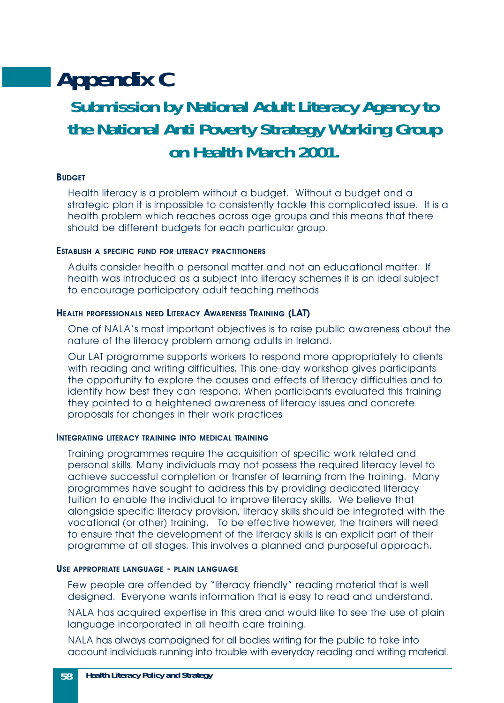# <span id="page-57-0"></span>**Appendix C**

### **Submission by National Adult Literacy Agency to the National Anti Poverty Strategy Working Group on Health March 2001.**

#### **BUDGET**

Health literacy is a problem without a budget. Without a budget and a strategic plan it is impossible to consistently tackle this complicated issue. It is a health problem which reaches across age groups and this means that there should be different budgets for each particular group.

#### **ESTABLISH A SPECIFIC FUND FOR LITERACY PRACTITIONERS**

Adults consider health a personal matter and not an educational matter. If health was introduced as a subject into literacy schemes it is an ideal subject to encourage participatory adult teaching methods

#### **HEALTH PROFESSIONALS NEED LITERACY AWARENESS TRAINING (LAT)**

One of NALA's most important objectives is to raise public awareness about the nature of the literacy problem among adults in Ireland.

Our LAT programme supports workers to respond more appropriately to clients with reading and writing difficulties. This one-day workshop gives participants the opportunity to explore the causes and effects of literacy difficulties and to identify how best they can respond. When participants evaluated this training they pointed to a heightened awareness of literacy issues and concrete proposals for changes in their work practices

#### **INTEGRATING LITERACY TRAINING INTO MEDICAL TRAINING**

Training programmes require the acquisition of specific work related and personal skills. Many individuals may not possess the required literacy level to achieve successful completion or transfer of learning from the training. Many programmes have sought to address this by providing dedicated literacy tuition to enable the individual to improve literacy skills. We believe that alongside specific literacy provision, literacy skills should be integrated with the vocational (or other) training. To be effective however, the trainers will need to ensure that the development of the literacy skills is an explicit part of their programme at all stages. This involves a planned and purposeful approach.

#### **USE APPROPRIATE LANGUAGE - PLAIN LANGUAGE**

Few people are offended by "literacy friendly" reading material that is well designed. Everyone wants information that is easy to read and understand.

NALA has acquired expertise in this area and would like to see the use of plain language incorporated in all health care training.

NALA has always campaigned for all bodies writing for the public to take into account individuals running into trouble with everyday reading and writing material.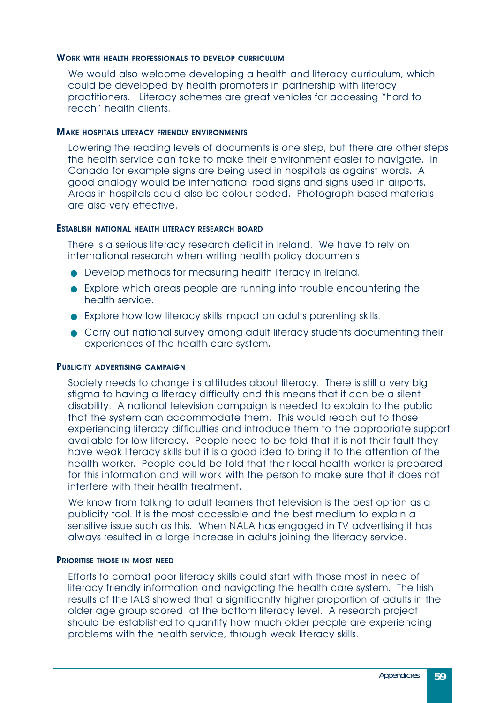#### **WORK WITH HEALTH PROFESSIONALS TO DEVELOP CURRICULUM**

We would also welcome developing a health and literacy curriculum, which could be developed by health promoters in partnership with literacy practitioners. Literacy schemes are great vehicles for accessing "hard to reach" health clients.

#### **MAKE HOSPITALS LITERACY FRIENDLY ENVIRONMENTS**

Lowering the reading levels of documents is one step, but there are other steps the health service can take to make their environment easier to navigate. In Canada for example signs are being used in hospitals as against words. A good analogy would be international road signs and signs used in airports. Areas in hospitals could also be colour coded. Photograph based materials are also very effective.

#### **ESTABLISH NATIONAL HEALTH LITERACY RESEARCH BOARD**

There is a serious literacy research deficit in Ireland. We have to rely on international research when writing health policy documents.

- Develop methods for measuring health literacy in Ireland.
- Explore which areas people are running into trouble encountering the health service.
- Explore how low literacy skills impact on adults parenting skills.
- Carry out national survey among adult literacy students documenting their experiences of the health care system.

#### **PUBLICITY ADVERTISING CAMPAIGN**

Society needs to change its attitudes about literacy. There is still a very big stigma to having a literacy difficulty and this means that it can be a silent disability. A national television campaign is needed to explain to the public that the system can accommodate them. This would reach out to those experiencing literacy difficulties and introduce them to the appropriate support available for low literacy. People need to be told that it is not their fault they have weak literacy skills but it is a good idea to bring it to the attention of the health worker. People could be told that their local health worker is prepared for this information and will work with the person to make sure that it does not interfere with their health treatment.

We know from talking to adult learners that television is the best option as a publicity tool. It is the most accessible and the best medium to explain a sensitive issue such as this. When NALA has engaged in TV advertising it has always resulted in a large increase in adults joining the literacy service.

#### **PRIORITISE THOSE IN MOST NEED**

Efforts to combat poor literacy skills could start with those most in need of literacy friendly information and navigating the health care system. The Irish results of the IALS showed that a significantly higher proportion of adults in the older age group scored at the bottom literacy level. A research project should be established to quantify how much older people are experiencing problems with the health service, through weak literacy skills.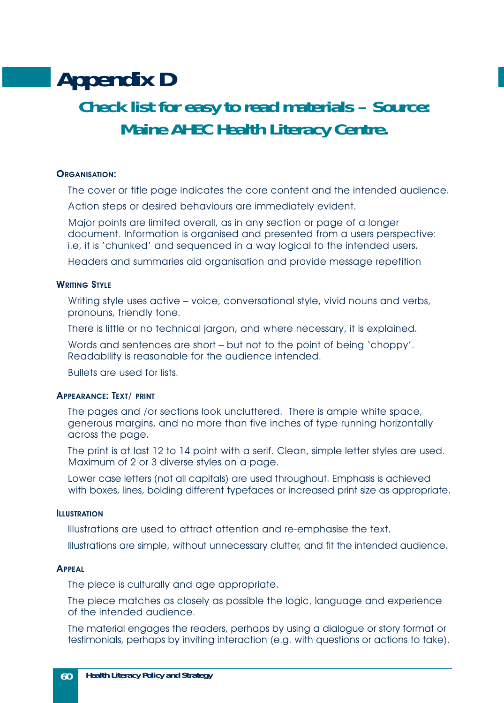# <span id="page-59-0"></span>**Appendix D Check list for easy to read materials – Source: Maine AHEC Health Literacy Centre.**

#### **ORGANISATION:**

The cover or title page indicates the core content and the intended audience.

Action steps or desired behaviours are immediately evident.

Major points are limited overall, as in any section or page of a longer document. Information is organised and presented from a users perspective: i.e, it is 'chunked' and sequenced in a way logical to the intended users.

Headers and summaries aid organisation and provide message repetition

#### **WRITING STYLE**

Writing style uses active – voice, conversational style, vivid nouns and verbs, pronouns, friendly tone.

There is little or no technical jargon, and where necessary, it is explained.

Words and sentences are short – but not to the point of being 'choppy'. Readability is reasonable for the audience intended.

Bullets are used for lists.

#### **APPEARANCE: TEXT/ PRINT**

The pages and /or sections look uncluttered. There is ample white space, generous margins, and no more than five inches of type running horizontally across the page.

The print is at last 12 to 14 point with a serif. Clean, simple letter styles are used. Maximum of 2 or 3 diverse styles on a page.

Lower case letters (not all capitals) are used throughout. Emphasis is achieved with boxes, lines, bolding different typefaces or increased print size as appropriate.

#### **ILLUSTRATION**

Illustrations are used to attract attention and re-emphasise the text.

Illustrations are simple, without unnecessary clutter, and fit the intended audience.

#### **APPEAL**

The piece is culturally and age appropriate.

The piece matches as closely as possible the logic, language and experience of the intended audience.

The material engages the readers, perhaps by using a dialogue or story format or testimonials, perhaps by inviting interaction (e.g. with questions or actions to take).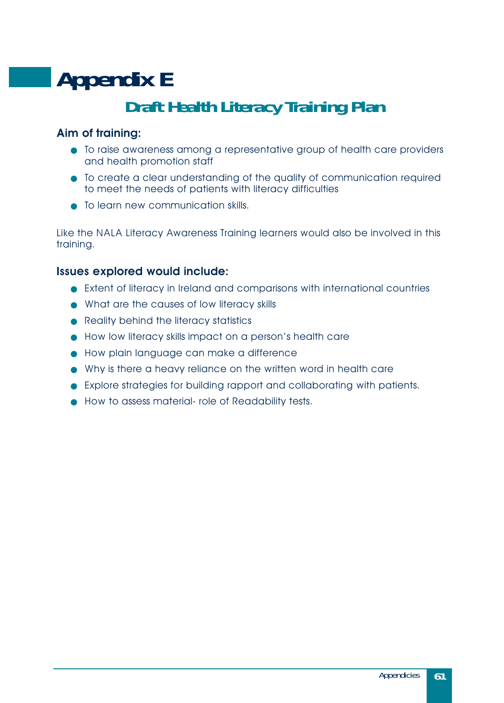# <span id="page-60-0"></span>**Appendix E Draft Health Literacy Training Plan**

#### **Aim of training:**

- To raise awareness among a representative group of health care providers and health promotion staff
- To create a clear understanding of the quality of communication required to meet the needs of patients with literacy difficulties
- To learn new communication skills.

Like the NALA Literacy Awareness Training learners would also be involved in this training.

#### **Issues explored would include:**

- Extent of literacy in Ireland and comparisons with international countries
- What are the causes of low literacy skills
- Reality behind the literacy statistics
- How low literacy skills impact on a person's health care
- How plain language can make a difference
- Why is there a heavy reliance on the written word in health care
- Explore strategies for building rapport and collaborating with patients.
- How to assess material- role of Readability tests.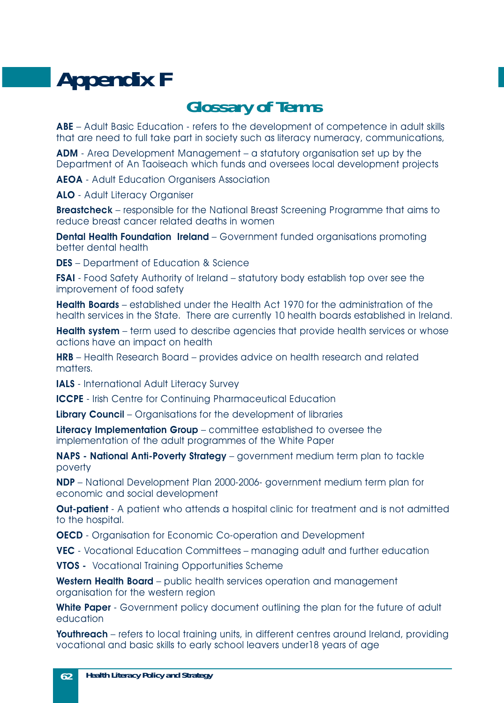# <span id="page-61-0"></span>**Appendix F**

### **Glossary of Terms**

**ABE** – Adult Basic Education - refers to the development of competence in adult skills that are need to full take part in society such as literacy numeracy, communications,

**ADM** - Area Development Management – a statutory organisation set up by the Department of An Taoiseach which funds and oversees local development projects

**AEOA** - Adult Education Organisers Association

**ALO** - Adult Literacy Organiser

**Breastcheck** – responsible for the National Breast Screening Programme that aims to reduce breast cancer related deaths in women

**Dental Health Foundation Ireland** – Government funded organisations promoting better dental health

**DES** – Department of Education & Science

**FSAI** - Food Safety Authority of Ireland – statutory body establish top over see the improvement of food safety

**Health Boards** – established under the Health Act 1970 for the administration of the health services in the State. There are currently 10 health boards established in Ireland.

**Health system** – term used to describe agencies that provide health services or whose actions have an impact on health

**HRB** – Health Research Board – provides advice on health research and related matters.

**IALS** - International Adult Literacy Survey

**ICCPE** - Irish Centre for Continuing Pharmaceutical Education

**Library Council** – Organisations for the development of libraries

**Literacy Implementation Group** – committee established to oversee the implementation of the adult programmes of the White Paper

**NAPS - National Anti-Poverty Strategy** – government medium term plan to tackle poverty

**NDP** – National Development Plan 2000-2006- government medium term plan for economic and social development

**Out-patient** - A patient who attends a hospital clinic for treatment and is not admitted to the hospital.

**OECD** - Organisation for Economic Co-operation and Development

**VEC** - Vocational Education Committees – managing adult and further education

**VTOS -** Vocational Training Opportunities Scheme

Western Health Board – public health services operation and management organisation for the western region

**White Paper** - Government policy document outlining the plan for the future of adult education

**Youthreach** – refers to local training units, in different centres around Ireland, providing vocational and basic skills to early school leavers under18 years of age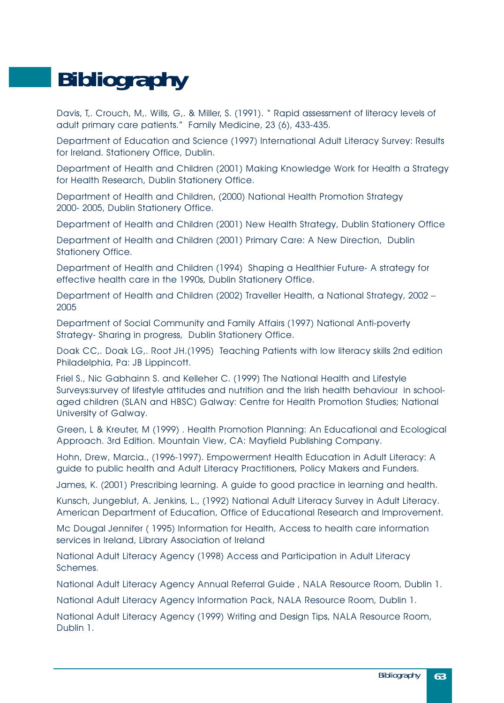# <span id="page-62-0"></span>**Bibliography**

Davis, T,. Crouch, M,. Wills, G,. & Miller, S. (1991). " Rapid assessment of literacy levels of adult primary care patients." Family Medicine, 23 (6), 433-435.

Department of Education and Science (1997) International Adult Literacy Survey: Results for Ireland. Stationery Office, Dublin.

Department of Health and Children (2001) Making Knowledge Work for Health a Strategy for Health Research, Dublin Stationery Office.

Department of Health and Children, (2000) National Health Promotion Strategy 2000- 2005, Dublin Stationery Office.

Department of Health and Children (2001) New Health Strategy, Dublin Stationery Office

Department of Health and Children (2001) Primary Care: A New Direction, Dublin Stationery Office.

Department of Health and Children (1994) Shaping a Healthier Future- A strategy for effective health care in the 1990s, Dublin Stationery Office.

Department of Health and Children (2002) Traveller Health, a National Strategy, 2002 – 2005

Department of Social Community and Family Affairs (1997) National Anti-poverty Strategy- Sharing in progress, Dublin Stationery Office.

Doak CC,. Doak LG,. Root JH.(1995) Teaching Patients with low literacy skills 2nd edition Philadelphia, Pa: JB Lippincott.

Friel S., Nic Gabhainn S. and Kelleher C. (1999) The National Health and Lifestyle Surveys:survey of lifestyle attitudes and nutrition and the Irish health behaviour in schoolaged children (SLAN and HBSC) Galway: Centre for Health Promotion Studies; National University of Galway.

Green, L & Kreuter, M (1999) . Health Promotion Planning: An Educational and Ecological Approach. 3rd Edition. Mountain View, CA: Mayfield Publishing Company.

Hohn, Drew, Marcia., (1996-1997). Empowerment Health Education in Adult Literacy: A guide to public health and Adult Literacy Practitioners, Policy Makers and Funders.

James, K. (2001) Prescribing learning. A guide to good practice in learning and health.

Kunsch, Jungeblut, A. Jenkins, L., (1992) National Adult Literacy Survey in Adult Literacy. American Department of Education, Office of Educational Research and Improvement.

Mc Dougal Jennifer ( 1995) Information for Health, Access to health care information services in Ireland, Library Association of Ireland

National Adult Literacy Agency (1998) Access and Participation in Adult Literacy Schemes.

National Adult Literacy Agency Annual Referral Guide , NALA Resource Room, Dublin 1.

National Adult Literacy Agency Information Pack, NALA Resource Room, Dublin 1.

National Adult Literacy Agency (1999) Writing and Design Tips, NALA Resource Room, Dublin 1.